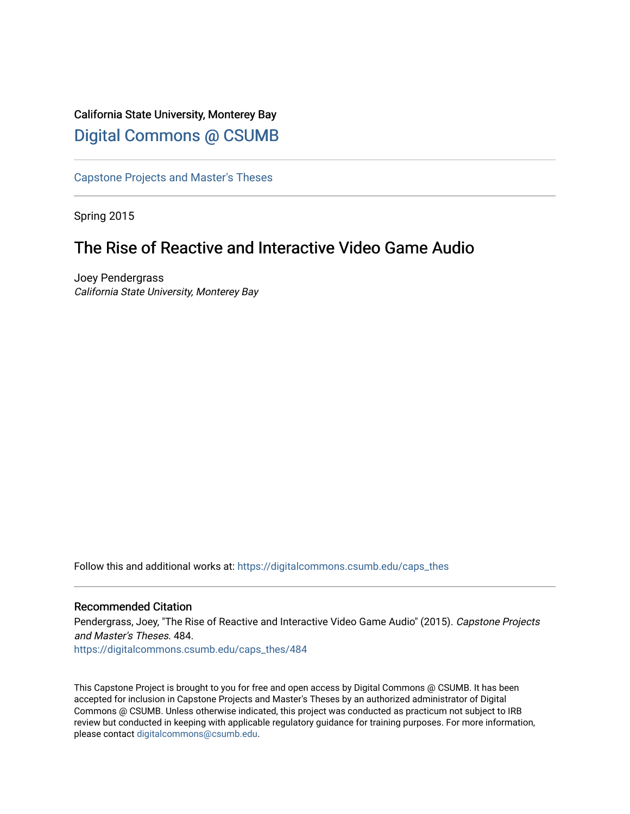# California State University, Monterey Bay [Digital Commons @ CSUMB](https://digitalcommons.csumb.edu/)

[Capstone Projects and Master's Theses](https://digitalcommons.csumb.edu/caps_thes)

Spring 2015

# The Rise of Reactive and Interactive Video Game Audio

Joey Pendergrass California State University, Monterey Bay

Follow this and additional works at: [https://digitalcommons.csumb.edu/caps\\_thes](https://digitalcommons.csumb.edu/caps_thes?utm_source=digitalcommons.csumb.edu%2Fcaps_thes%2F484&utm_medium=PDF&utm_campaign=PDFCoverPages) 

#### Recommended Citation

Pendergrass, Joey, "The Rise of Reactive and Interactive Video Game Audio" (2015). Capstone Projects and Master's Theses. 484.

[https://digitalcommons.csumb.edu/caps\\_thes/484](https://digitalcommons.csumb.edu/caps_thes/484?utm_source=digitalcommons.csumb.edu%2Fcaps_thes%2F484&utm_medium=PDF&utm_campaign=PDFCoverPages) 

This Capstone Project is brought to you for free and open access by Digital Commons @ CSUMB. It has been accepted for inclusion in Capstone Projects and Master's Theses by an authorized administrator of Digital Commons @ CSUMB. Unless otherwise indicated, this project was conducted as practicum not subject to IRB review but conducted in keeping with applicable regulatory guidance for training purposes. For more information, please contact [digitalcommons@csumb.edu](mailto:digitalcommons@csumb.edu).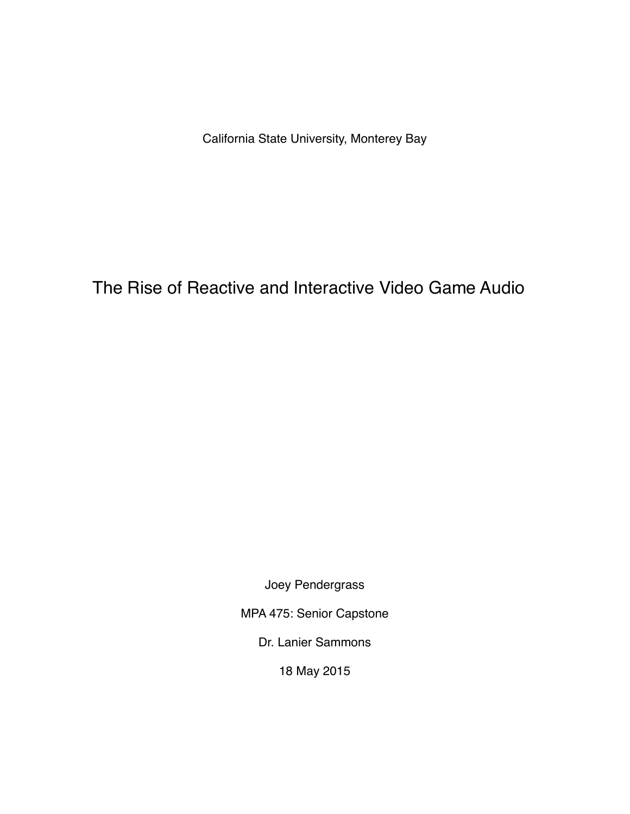California State University, Monterey Bay

The Rise of Reactive and Interactive Video Game Audio

Joey Pendergrass

MPA 475: Senior Capstone

Dr. Lanier Sammons

18 May 2015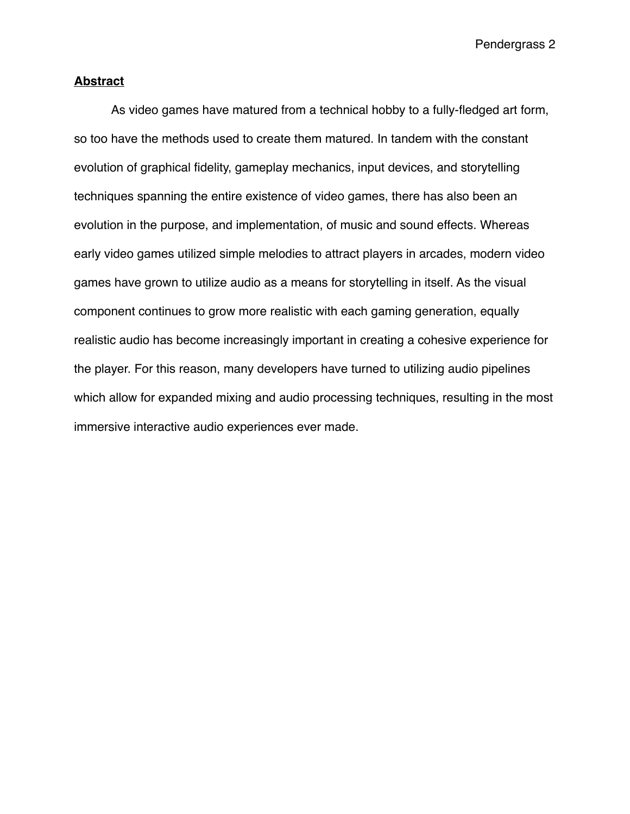# **Abstract**

As video games have matured from a technical hobby to a fully-fledged art form, so too have the methods used to create them matured. In tandem with the constant evolution of graphical fidelity, gameplay mechanics, input devices, and storytelling techniques spanning the entire existence of video games, there has also been an evolution in the purpose, and implementation, of music and sound effects. Whereas early video games utilized simple melodies to attract players in arcades, modern video games have grown to utilize audio as a means for storytelling in itself. As the visual component continues to grow more realistic with each gaming generation, equally realistic audio has become increasingly important in creating a cohesive experience for the player. For this reason, many developers have turned to utilizing audio pipelines which allow for expanded mixing and audio processing techniques, resulting in the most immersive interactive audio experiences ever made.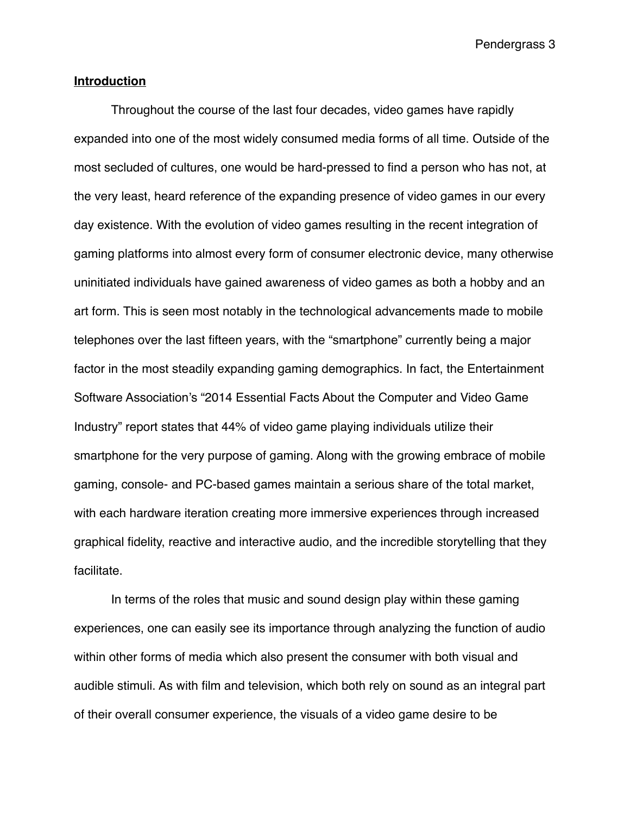## **Introduction**

Throughout the course of the last four decades, video games have rapidly expanded into one of the most widely consumed media forms of all time. Outside of the most secluded of cultures, one would be hard-pressed to find a person who has not, at the very least, heard reference of the expanding presence of video games in our every day existence. With the evolution of video games resulting in the recent integration of gaming platforms into almost every form of consumer electronic device, many otherwise uninitiated individuals have gained awareness of video games as both a hobby and an art form. This is seen most notably in the technological advancements made to mobile telephones over the last fifteen years, with the "smartphone" currently being a major factor in the most steadily expanding gaming demographics. In fact, the Entertainment Software Association's "2014 Essential Facts About the Computer and Video Game Industry" report states that 44% of video game playing individuals utilize their smartphone for the very purpose of gaming. Along with the growing embrace of mobile gaming, console- and PC-based games maintain a serious share of the total market, with each hardware iteration creating more immersive experiences through increased graphical fidelity, reactive and interactive audio, and the incredible storytelling that they facilitate.

In terms of the roles that music and sound design play within these gaming experiences, one can easily see its importance through analyzing the function of audio within other forms of media which also present the consumer with both visual and audible stimuli. As with film and television, which both rely on sound as an integral part of their overall consumer experience, the visuals of a video game desire to be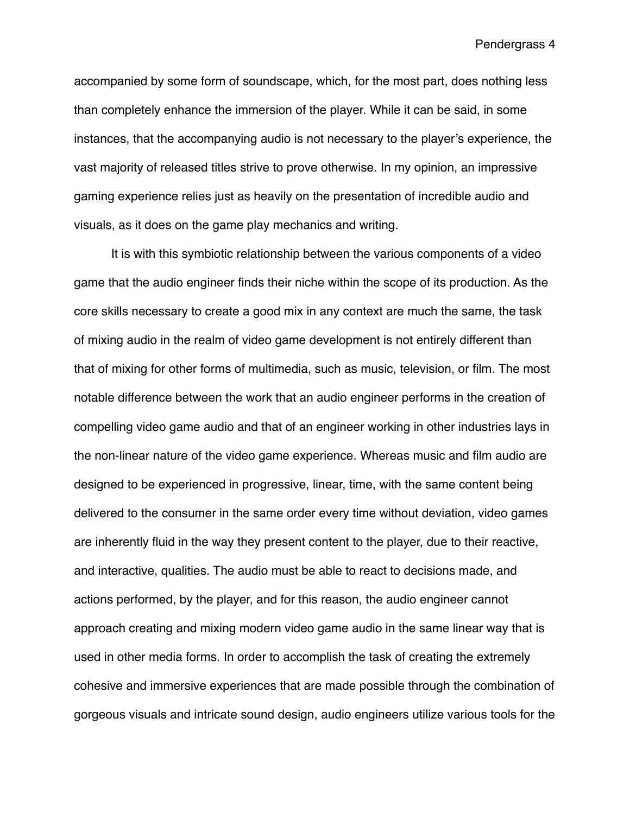accompanied by some form of soundscape, which, for the most part, does nothing less than completely enhance the immersion of the player. While it can be said, in some instances, that the accompanying audio is not necessary to the player's experience, the vast majority of released titles strive to prove otherwise. In my opinion, an impressive gaming experience relies just as heavily on the presentation of incredible audio and visuals, as it does on the game play mechanics and writing.

It is with this symbiotic relationship between the various components of a video game that the audio engineer finds their niche within the scope of its production. As the core skills necessary to create a good mix in any context are much the same, the task of mixing audio in the realm of video game development is not entirely different than that of mixing for other forms of multimedia, such as music, television, or film. The most notable difference between the work that an audio engineer performs in the creation of compelling video game audio and that of an engineer working in other industries lays in the non-linear nature of the video game experience. Whereas music and film audio are designed to be experienced in progressive, linear, time, with the same content being delivered to the consumer in the same order every time without deviation, video games are inherently fluid in the way they present content to the player, due to their reactive, and interactive, qualities. The audio must be able to react to decisions made, and actions performed, by the player, and for this reason, the audio engineer cannot approach creating and mixing modern video game audio in the same linear way that is used in other media forms. In order to accomplish the task of creating the extremely cohesive and immersive experiences that are made possible through the combination of gorgeous visuals and intricate sound design, audio engineers utilize various tools for the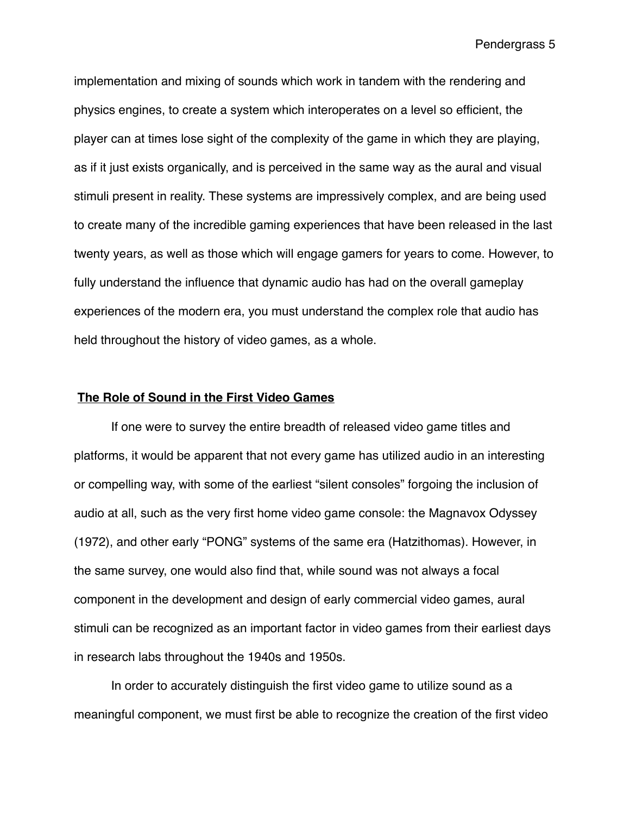implementation and mixing of sounds which work in tandem with the rendering and physics engines, to create a system which interoperates on a level so efficient, the player can at times lose sight of the complexity of the game in which they are playing, as if it just exists organically, and is perceived in the same way as the aural and visual stimuli present in reality. These systems are impressively complex, and are being used to create many of the incredible gaming experiences that have been released in the last twenty years, as well as those which will engage gamers for years to come. However, to fully understand the influence that dynamic audio has had on the overall gameplay experiences of the modern era, you must understand the complex role that audio has held throughout the history of video games, as a whole.

## **The Role of Sound in the First Video Games**

If one were to survey the entire breadth of released video game titles and platforms, it would be apparent that not every game has utilized audio in an interesting or compelling way, with some of the earliest "silent consoles" forgoing the inclusion of audio at all, such as the very first home video game console: the Magnavox Odyssey (1972), and other early "PONG" systems of the same era (Hatzithomas). However, in the same survey, one would also find that, while sound was not always a focal component in the development and design of early commercial video games, aural stimuli can be recognized as an important factor in video games from their earliest days in research labs throughout the 1940s and 1950s.

In order to accurately distinguish the first video game to utilize sound as a meaningful component, we must first be able to recognize the creation of the first video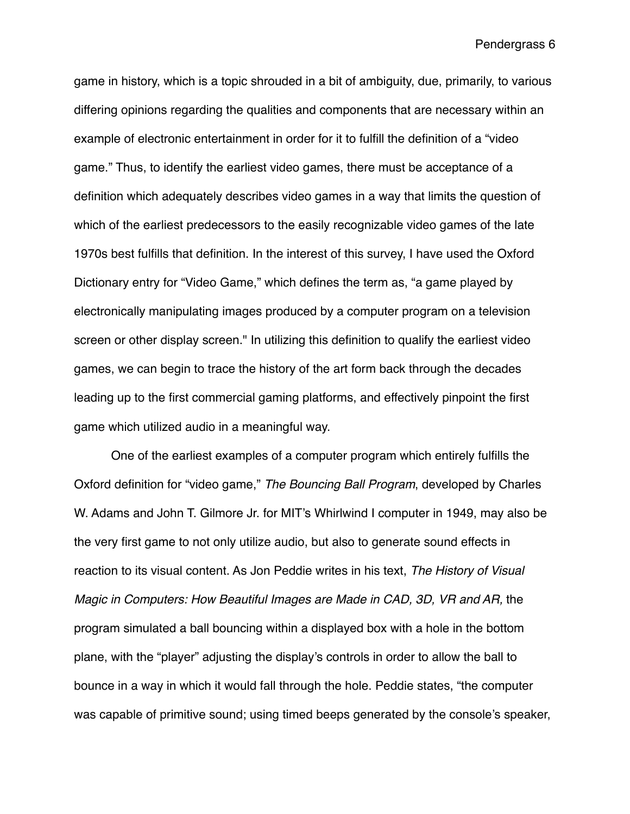game in history, which is a topic shrouded in a bit of ambiguity, due, primarily, to various differing opinions regarding the qualities and components that are necessary within an example of electronic entertainment in order for it to fulfill the definition of a "video game." Thus, to identify the earliest video games, there must be acceptance of a definition which adequately describes video games in a way that limits the question of which of the earliest predecessors to the easily recognizable video games of the late 1970s best fulfills that definition. In the interest of this survey, I have used the Oxford Dictionary entry for "Video Game," which defines the term as, "a game played by [electronically](http://www.oxforddictionaries.com/us/definition/american_english/electronically#electronically__4) [manipulating](http://www.oxforddictionaries.com/us/definition/american_english/manipulate#manipulate__10) images produced by a computer program on a [television](http://www.oxforddictionaries.com/us/definition/american_english/television#television__4)  screen or other [display](http://www.oxforddictionaries.com/us/definition/american_english/display#display__24) screen." In utilizing this definition to qualify the earliest video games, we can begin to trace the history of the art form back through the decades leading up to the first commercial gaming platforms, and effectively pinpoint the first game which utilized audio in a meaningful way.

One of the earliest examples of a computer program which entirely fulfills the Oxford definition for "video game," *The Bouncing Ball Program*, developed by Charles W. Adams and John T. Gilmore Jr. for MIT's Whirlwind I computer in 1949, may also be the very first game to not only utilize audio, but also to generate sound effects in reaction to its visual content. As Jon Peddie writes in his text, *The History of Visual Magic in Computers: How Beautiful Images are Made in CAD, 3D, VR and AR,* the program simulated a ball bouncing within a displayed box with a hole in the bottom plane, with the "player" adjusting the display's controls in order to allow the ball to bounce in a way in which it would fall through the hole. Peddie states, "the computer was capable of primitive sound; using timed beeps generated by the console's speaker,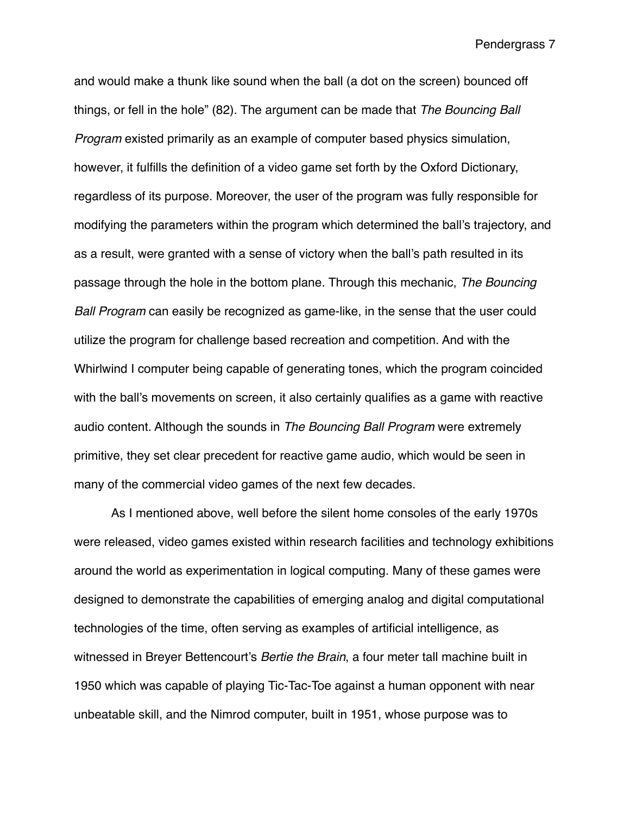and would make a thunk like sound when the ball (a dot on the screen) bounced off things, or fell in the hole" (82). The argument can be made that *The Bouncing Ball Program* existed primarily as an example of computer based physics simulation, however, it fulfills the definition of a video game set forth by the Oxford Dictionary, regardless of its purpose. Moreover, the user of the program was fully responsible for modifying the parameters within the program which determined the ball's trajectory, and as a result, were granted with a sense of victory when the ball's path resulted in its passage through the hole in the bottom plane. Through this mechanic, *The Bouncing Ball Program* can easily be recognized as game-like, in the sense that the user could utilize the program for challenge based recreation and competition. And with the Whirlwind I computer being capable of generating tones, which the program coincided with the ball's movements on screen, it also certainly qualifies as a game with reactive audio content. Although the sounds in *The Bouncing Ball Program* were extremely primitive, they set clear precedent for reactive game audio, which would be seen in many of the commercial video games of the next few decades.

As I mentioned above, well before the silent home consoles of the early 1970s were released, video games existed within research facilities and technology exhibitions around the world as experimentation in logical computing. Many of these games were designed to demonstrate the capabilities of emerging analog and digital computational technologies of the time, often serving as examples of artificial intelligence, as witnessed in Breyer Bettencourt's *Bertie the Brain*, a four meter tall machine built in 1950 which was capable of playing Tic-Tac-Toe against a human opponent with near unbeatable skill, and the Nimrod computer, built in 1951, whose purpose was to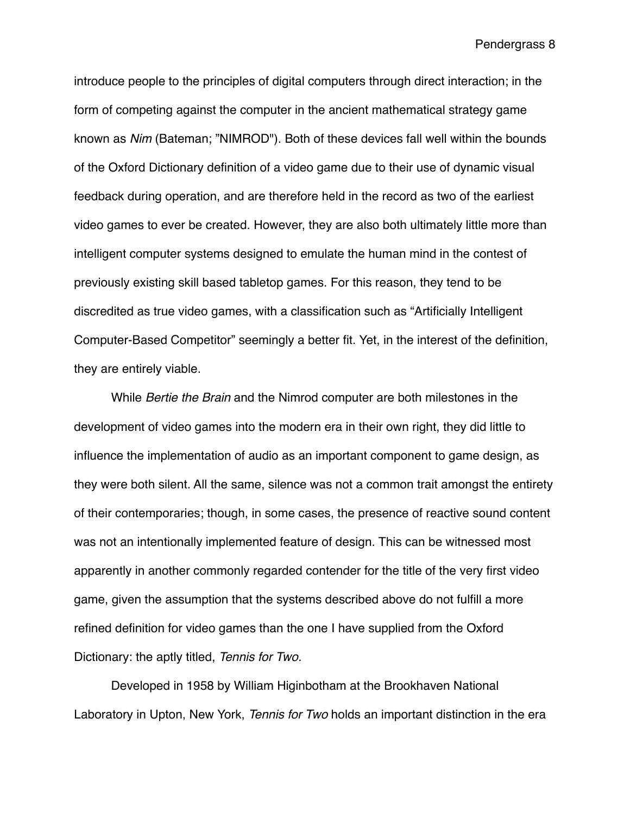introduce people to the principles of digital computers through direct interaction; in the form of competing against the computer in the ancient mathematical strategy game known as *Nim* (Bateman; "NIMROD"). Both of these devices fall well within the bounds of the Oxford Dictionary definition of a video game due to their use of dynamic visual feedback during operation, and are therefore held in the record as two of the earliest video games to ever be created. However, they are also both ultimately little more than intelligent computer systems designed to emulate the human mind in the contest of previously existing skill based tabletop games. For this reason, they tend to be discredited as true video games, with a classification such as "Artificially Intelligent Computer-Based Competitor" seemingly a better fit. Yet, in the interest of the definition, they are entirely viable.

While *Bertie the Brain* and the Nimrod computer are both milestones in the development of video games into the modern era in their own right, they did little to influence the implementation of audio as an important component to game design, as they were both silent. All the same, silence was not a common trait amongst the entirety of their contemporaries; though, in some cases, the presence of reactive sound content was not an intentionally implemented feature of design. This can be witnessed most apparently in another commonly regarded contender for the title of the very first video game, given the assumption that the systems described above do not fulfill a more refined definition for video games than the one I have supplied from the Oxford Dictionary: the aptly titled, *Tennis for Two.*

Developed in 1958 by William Higinbotham at the Brookhaven National Laboratory in Upton, New York, *Tennis for Two* holds an important distinction in the era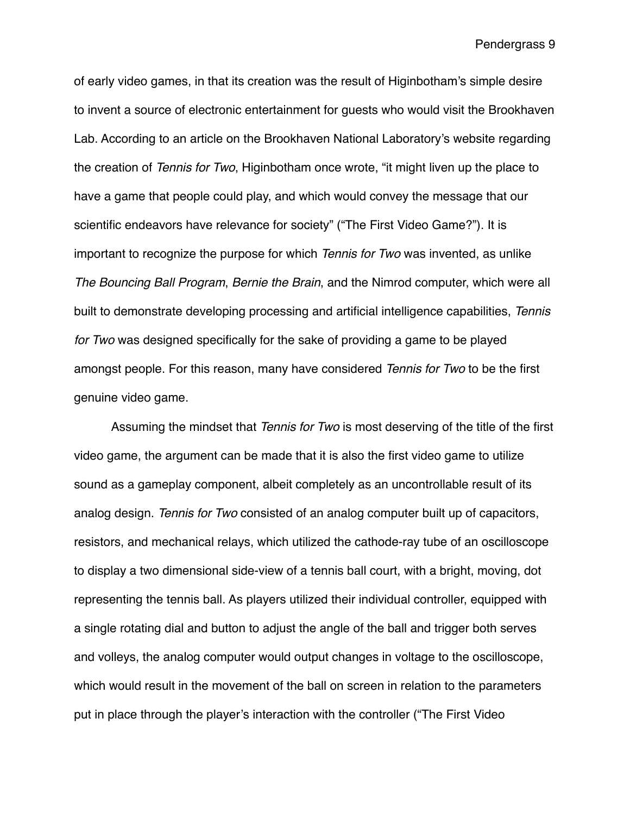of early video games, in that its creation was the result of Higinbotham's simple desire to invent a source of electronic entertainment for guests who would visit the Brookhaven Lab. According to an article on the Brookhaven National Laboratory's website regarding the creation of *Tennis for Two*, Higinbotham once wrote, "it might liven up the place to have a game that people could play, and which would convey the message that our scientific endeavors have relevance for society" ("The First Video Game?"). It is important to recognize the purpose for which *Tennis for Two* was invented, as unlike *The Bouncing Ball Program*, *Bernie the Brain*, and the Nimrod computer, which were all built to demonstrate developing processing and artificial intelligence capabilities, *Tennis for Two* was designed specifically for the sake of providing a game to be played amongst people. For this reason, many have considered *Tennis for Two* to be the first genuine video game.

Assuming the mindset that *Tennis for Two* is most deserving of the title of the first video game, the argument can be made that it is also the first video game to utilize sound as a gameplay component, albeit completely as an uncontrollable result of its analog design. *Tennis for Two* consisted of an analog computer built up of capacitors, resistors, and mechanical relays, which utilized the cathode-ray tube of an oscilloscope to display a two dimensional side-view of a tennis ball court, with a bright, moving, dot representing the tennis ball. As players utilized their individual controller, equipped with a single rotating dial and button to adjust the angle of the ball and trigger both serves and volleys, the analog computer would output changes in voltage to the oscilloscope, which would result in the movement of the ball on screen in relation to the parameters put in place through the player's interaction with the controller ("The First Video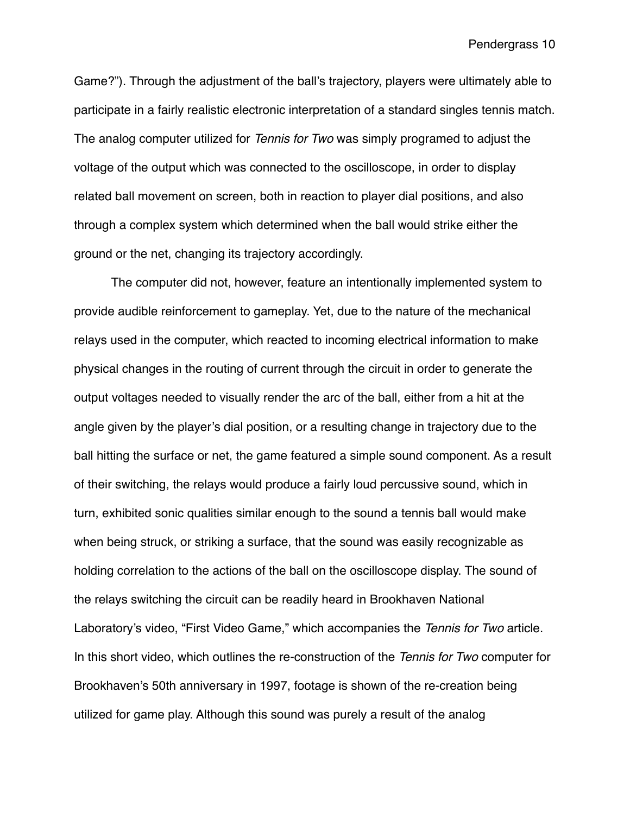Game?"). Through the adjustment of the ball's trajectory, players were ultimately able to participate in a fairly realistic electronic interpretation of a standard singles tennis match. The analog computer utilized for *Tennis for Two* was simply programed to adjust the voltage of the output which was connected to the oscilloscope, in order to display related ball movement on screen, both in reaction to player dial positions, and also through a complex system which determined when the ball would strike either the ground or the net, changing its trajectory accordingly.

The computer did not, however, feature an intentionally implemented system to provide audible reinforcement to gameplay. Yet, due to the nature of the mechanical relays used in the computer, which reacted to incoming electrical information to make physical changes in the routing of current through the circuit in order to generate the output voltages needed to visually render the arc of the ball, either from a hit at the angle given by the player's dial position, or a resulting change in trajectory due to the ball hitting the surface or net, the game featured a simple sound component. As a result of their switching, the relays would produce a fairly loud percussive sound, which in turn, exhibited sonic qualities similar enough to the sound a tennis ball would make when being struck, or striking a surface, that the sound was easily recognizable as holding correlation to the actions of the ball on the oscilloscope display. The sound of the relays switching the circuit can be readily heard in Brookhaven National Laboratory's video, "First Video Game," which accompanies the *Tennis for Two* article. In this short video, which outlines the re-construction of the *Tennis for Two* computer for Brookhaven's 50th anniversary in 1997, footage is shown of the re-creation being utilized for game play. Although this sound was purely a result of the analog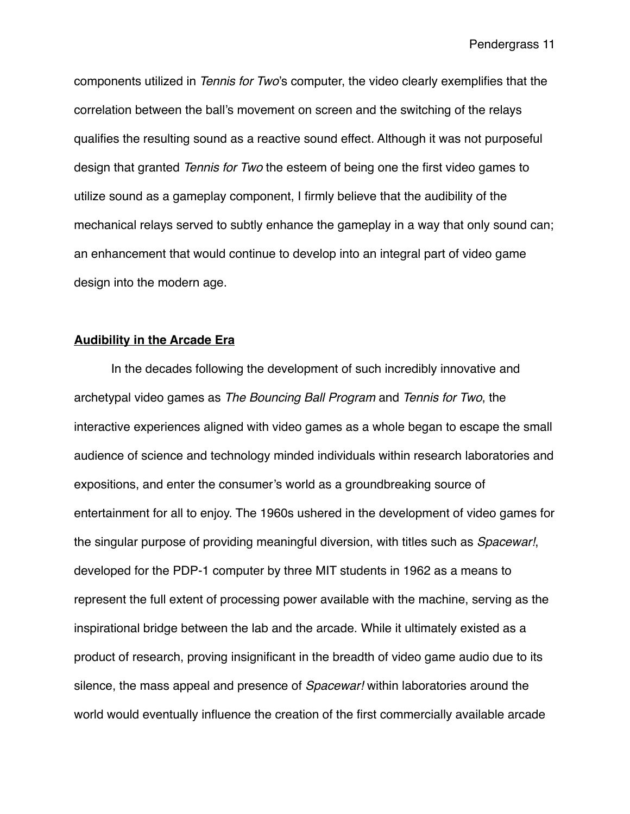components utilized in *Tennis for Two*'s computer, the video clearly exemplifies that the correlation between the ball's movement on screen and the switching of the relays qualifies the resulting sound as a reactive sound effect. Although it was not purposeful design that granted *Tennis for Two* the esteem of being one the first video games to utilize sound as a gameplay component, I firmly believe that the audibility of the mechanical relays served to subtly enhance the gameplay in a way that only sound can; an enhancement that would continue to develop into an integral part of video game design into the modern age.

## **Audibility in the Arcade Era**

In the decades following the development of such incredibly innovative and archetypal video games as *The Bouncing Ball Program* and *Tennis for Two*, the interactive experiences aligned with video games as a whole began to escape the small audience of science and technology minded individuals within research laboratories and expositions, and enter the consumer's world as a groundbreaking source of entertainment for all to enjoy. The 1960s ushered in the development of video games for the singular purpose of providing meaningful diversion, with titles such as *Spacewar!*, developed for the PDP-1 computer by three MIT students in 1962 as a means to represent the full extent of processing power available with the machine, serving as the inspirational bridge between the lab and the arcade. While it ultimately existed as a product of research, proving insignificant in the breadth of video game audio due to its silence, the mass appeal and presence of *Spacewar!* within laboratories around the world would eventually influence the creation of the first commercially available arcade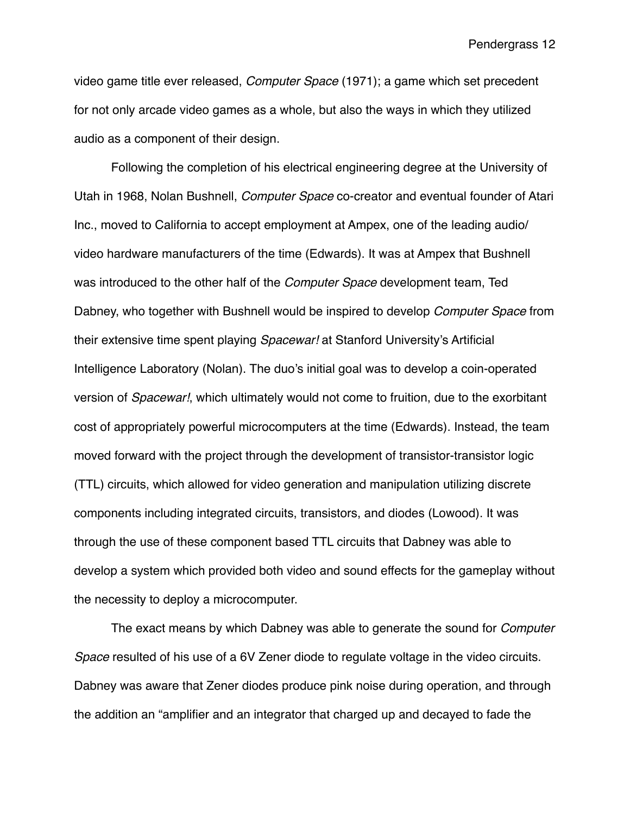video game title ever released, *Computer Space* (1971); a game which set precedent for not only arcade video games as a whole, but also the ways in which they utilized audio as a component of their design.

Following the completion of his electrical engineering degree at the University of Utah in 1968, Nolan Bushnell, *Computer Space* co-creator and eventual founder of Atari Inc., moved to California to accept employment at Ampex, one of the leading audio/ video hardware manufacturers of the time (Edwards). It was at Ampex that Bushnell was introduced to the other half of the *Computer Space* development team, Ted Dabney, who together with Bushnell would be inspired to develop *Computer Space* from their extensive time spent playing *Spacewar!* at Stanford University's Artificial Intelligence Laboratory (Nolan). The duo's initial goal was to develop a coin-operated version of *Spacewar!*, which ultimately would not come to fruition, due to the exorbitant cost of appropriately powerful microcomputers at the time (Edwards). Instead, the team moved forward with the project through the development of transistor-transistor logic (TTL) circuits, which allowed for video generation and manipulation utilizing discrete components including integrated circuits, transistors, and diodes (Lowood). It was through the use of these component based TTL circuits that Dabney was able to develop a system which provided both video and sound effects for the gameplay without the necessity to deploy a microcomputer.

The exact means by which Dabney was able to generate the sound for *Computer Space* resulted of his use of a 6V Zener diode to regulate voltage in the video circuits. Dabney was aware that Zener diodes produce pink noise during operation, and through the addition an "amplifier and an integrator that charged up and decayed to fade the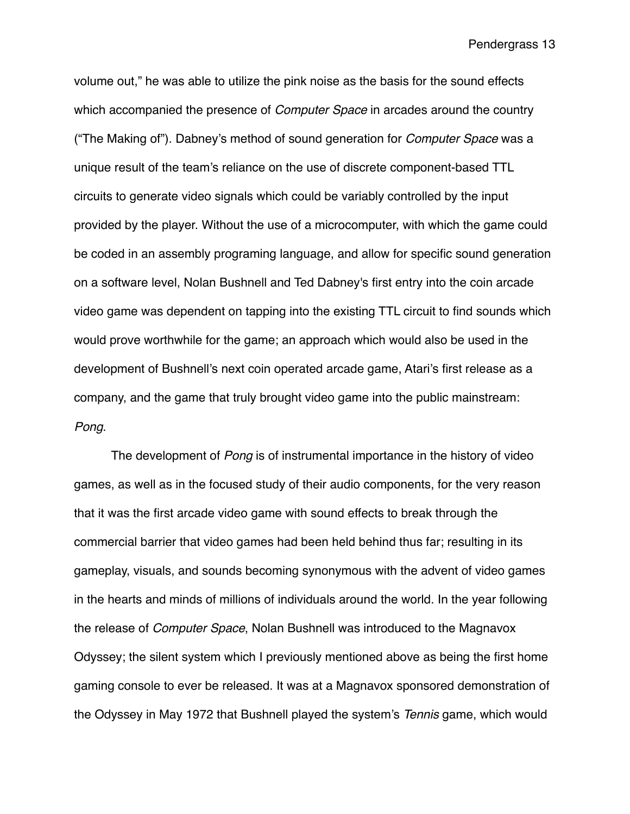volume out," he was able to utilize the pink noise as the basis for the sound effects which accompanied the presence of *Computer Space* in arcades around the country ("The Making of"). Dabney's method of sound generation for *Computer Space* was a unique result of the team's reliance on the use of discrete component-based TTL circuits to generate video signals which could be variably controlled by the input provided by the player. Without the use of a microcomputer, with which the game could be coded in an assembly programing language, and allow for specific sound generation on a software level, Nolan Bushnell and Ted Dabney's first entry into the coin arcade video game was dependent on tapping into the existing TTL circuit to find sounds which would prove worthwhile for the game; an approach which would also be used in the development of Bushnell's next coin operated arcade game, Atari's first release as a company, and the game that truly brought video game into the public mainstream: *Pong*.

The development of *Pong* is of instrumental importance in the history of video games, as well as in the focused study of their audio components, for the very reason that it was the first arcade video game with sound effects to break through the commercial barrier that video games had been held behind thus far; resulting in its gameplay, visuals, and sounds becoming synonymous with the advent of video games in the hearts and minds of millions of individuals around the world. In the year following the release of *Computer Space*, Nolan Bushnell was introduced to the Magnavox Odyssey; the silent system which I previously mentioned above as being the first home gaming console to ever be released. It was at a Magnavox sponsored demonstration of the Odyssey in May 1972 that Bushnell played the system's *Tennis* game, which would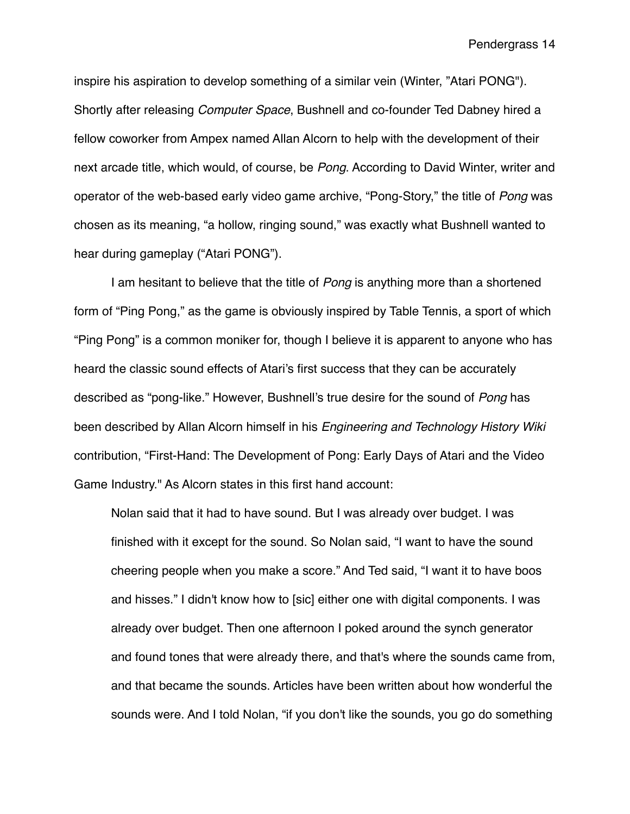inspire his aspiration to develop something of a similar vein (Winter, "Atari PONG"). Shortly after releasing *Computer Space*, Bushnell and co-founder Ted Dabney hired a fellow coworker from Ampex named Allan Alcorn to help with the development of their next arcade title, which would, of course, be *Pong*. According to David Winter, writer and operator of the web-based early video game archive, "Pong-Story," the title of *Pong* was chosen as its meaning, "a hollow, ringing sound," was exactly what Bushnell wanted to hear during gameplay ("Atari PONG").

I am hesitant to believe that the title of *Pong* is anything more than a shortened form of "Ping Pong," as the game is obviously inspired by Table Tennis, a sport of which "Ping Pong" is a common moniker for, though I believe it is apparent to anyone who has heard the classic sound effects of Atari's first success that they can be accurately described as "pong-like." However, Bushnell's true desire for the sound of *Pong* has been described by Allan Alcorn himself in his *Engineering and Technology History Wiki*  contribution, "First-Hand: The Development of Pong: Early Days of Atari and the Video Game Industry." As Alcorn states in this first hand account:

Nolan said that it had to have sound. But I was already over budget. I was finished with it except for the sound. So Nolan said, "I want to have the sound cheering people when you make a score." And Ted said, "I want it to have boos and hisses." I didn't know how to [sic] either one with digital components. I was already over budget. Then one afternoon I poked around the synch generator and found tones that were already there, and that's where the sounds came from, and that became the sounds. Articles have been written about how wonderful the sounds were. And I told Nolan, "if you don't like the sounds, you go do something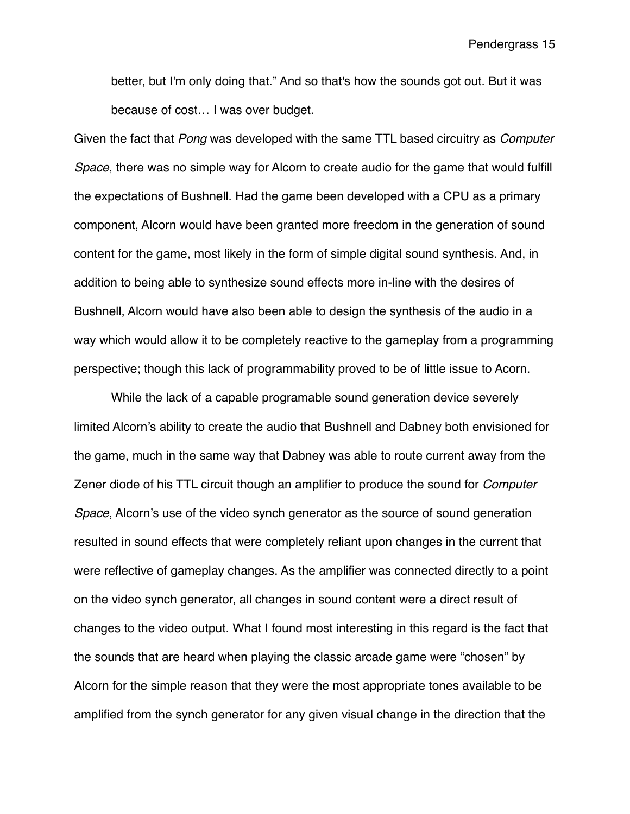better, but I'm only doing that." And so that's how the sounds got out. But it was because of cost… I was over budget.

Given the fact that *Pong* was developed with the same TTL based circuitry as *Computer Space*, there was no simple way for Alcorn to create audio for the game that would fulfill the expectations of Bushnell. Had the game been developed with a CPU as a primary component, Alcorn would have been granted more freedom in the generation of sound content for the game, most likely in the form of simple digital sound synthesis. And, in addition to being able to synthesize sound effects more in-line with the desires of Bushnell, Alcorn would have also been able to design the synthesis of the audio in a way which would allow it to be completely reactive to the gameplay from a programming perspective; though this lack of programmability proved to be of little issue to Acorn.

While the lack of a capable programable sound generation device severely limited Alcorn's ability to create the audio that Bushnell and Dabney both envisioned for the game, much in the same way that Dabney was able to route current away from the Zener diode of his TTL circuit though an amplifier to produce the sound for *Computer Space*, Alcorn's use of the video synch generator as the source of sound generation resulted in sound effects that were completely reliant upon changes in the current that were reflective of gameplay changes. As the amplifier was connected directly to a point on the video synch generator, all changes in sound content were a direct result of changes to the video output. What I found most interesting in this regard is the fact that the sounds that are heard when playing the classic arcade game were "chosen" by Alcorn for the simple reason that they were the most appropriate tones available to be amplified from the synch generator for any given visual change in the direction that the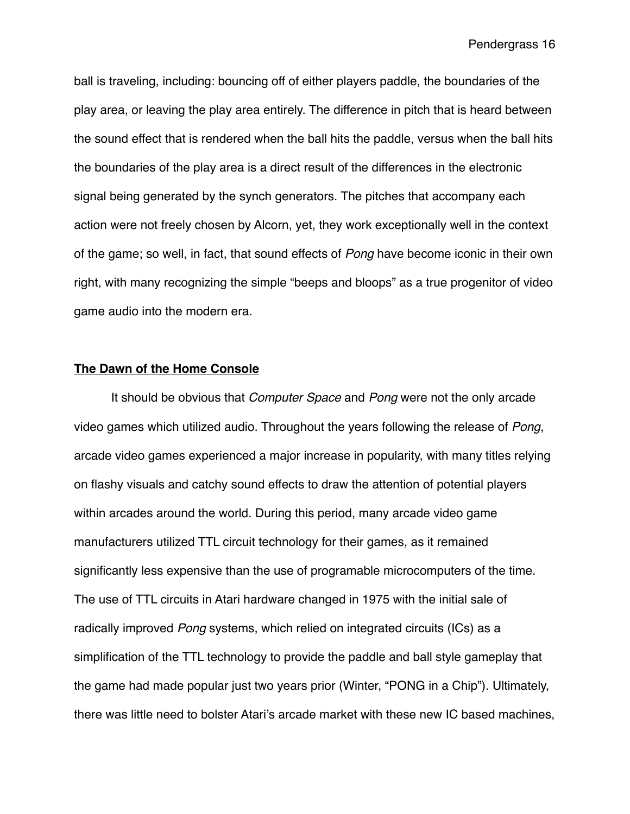ball is traveling, including: bouncing off of either players paddle, the boundaries of the play area, or leaving the play area entirely. The difference in pitch that is heard between the sound effect that is rendered when the ball hits the paddle, versus when the ball hits the boundaries of the play area is a direct result of the differences in the electronic signal being generated by the synch generators. The pitches that accompany each action were not freely chosen by Alcorn, yet, they work exceptionally well in the context of the game; so well, in fact, that sound effects of *Pong* have become iconic in their own right, with many recognizing the simple "beeps and bloops" as a true progenitor of video game audio into the modern era.

## **The Dawn of the Home Console**

It should be obvious that *Computer Space* and *Pong* were not the only arcade video games which utilized audio. Throughout the years following the release of *Pong*, arcade video games experienced a major increase in popularity, with many titles relying on flashy visuals and catchy sound effects to draw the attention of potential players within arcades around the world. During this period, many arcade video game manufacturers utilized TTL circuit technology for their games, as it remained significantly less expensive than the use of programable microcomputers of the time. The use of TTL circuits in Atari hardware changed in 1975 with the initial sale of radically improved *Pong* systems, which relied on integrated circuits (ICs) as a simplification of the TTL technology to provide the paddle and ball style gameplay that the game had made popular just two years prior (Winter, "PONG in a Chip"). Ultimately, there was little need to bolster Atari's arcade market with these new IC based machines,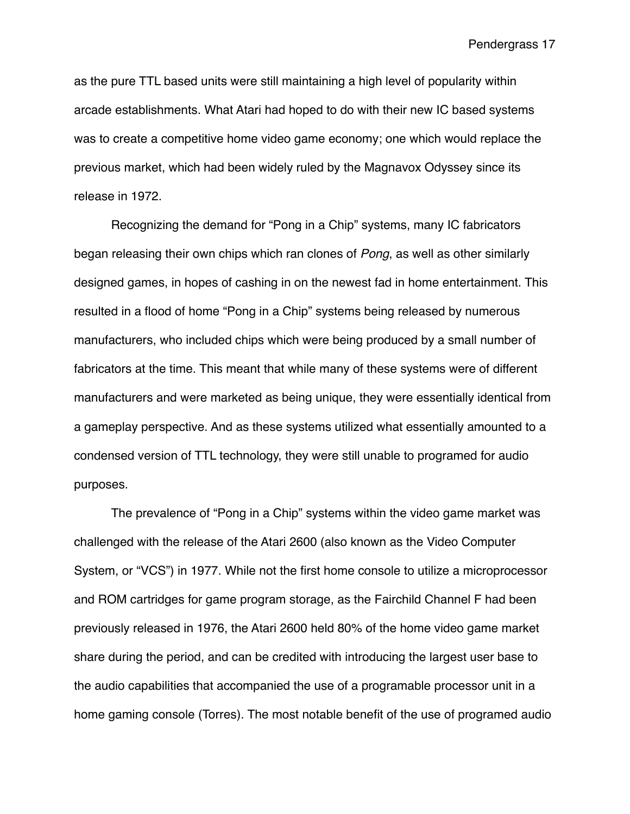as the pure TTL based units were still maintaining a high level of popularity within arcade establishments. What Atari had hoped to do with their new IC based systems was to create a competitive home video game economy; one which would replace the previous market, which had been widely ruled by the Magnavox Odyssey since its release in 1972.

Recognizing the demand for "Pong in a Chip" systems, many IC fabricators began releasing their own chips which ran clones of *Pong*, as well as other similarly designed games, in hopes of cashing in on the newest fad in home entertainment. This resulted in a flood of home "Pong in a Chip" systems being released by numerous manufacturers, who included chips which were being produced by a small number of fabricators at the time. This meant that while many of these systems were of different manufacturers and were marketed as being unique, they were essentially identical from a gameplay perspective. And as these systems utilized what essentially amounted to a condensed version of TTL technology, they were still unable to programed for audio purposes.

The prevalence of "Pong in a Chip" systems within the video game market was challenged with the release of the Atari 2600 (also known as the Video Computer System, or "VCS") in 1977. While not the first home console to utilize a microprocessor and ROM cartridges for game program storage, as the Fairchild Channel F had been previously released in 1976, the Atari 2600 held 80% of the home video game market share during the period, and can be credited with introducing the largest user base to the audio capabilities that accompanied the use of a programable processor unit in a home gaming console (Torres). The most notable benefit of the use of programed audio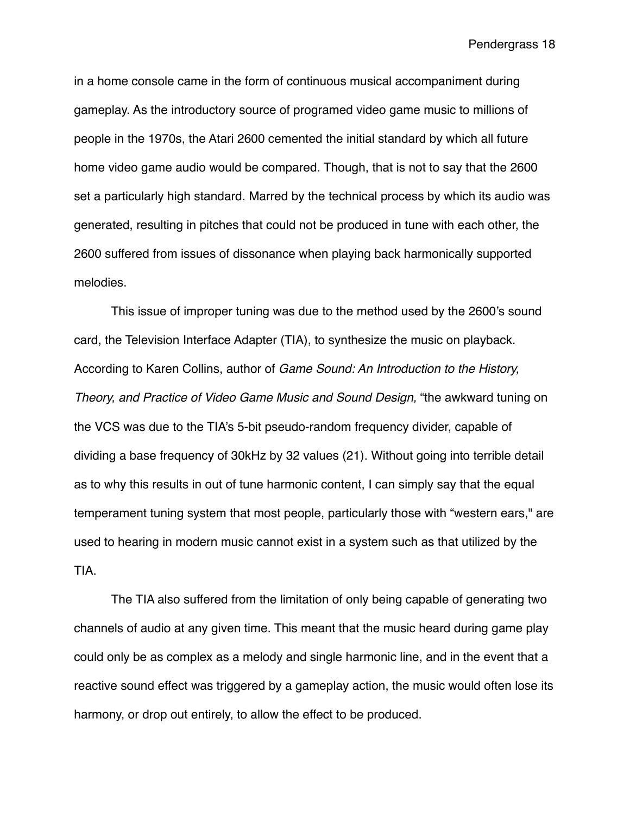in a home console came in the form of continuous musical accompaniment during gameplay. As the introductory source of programed video game music to millions of people in the 1970s, the Atari 2600 cemented the initial standard by which all future home video game audio would be compared. Though, that is not to say that the 2600 set a particularly high standard. Marred by the technical process by which its audio was generated, resulting in pitches that could not be produced in tune with each other, the 2600 suffered from issues of dissonance when playing back harmonically supported melodies.

This issue of improper tuning was due to the method used by the 2600's sound card, the Television Interface Adapter (TIA), to synthesize the music on playback. According to Karen Collins, author of *Game Sound: An Introduction to the History, Theory, and Practice of Video Game Music and Sound Design,* "the awkward tuning on the VCS was due to the TIA's 5-bit pseudo-random frequency divider, capable of dividing a base frequency of 30kHz by 32 values (21). Without going into terrible detail as to why this results in out of tune harmonic content, I can simply say that the equal temperament tuning system that most people, particularly those with "western ears," are used to hearing in modern music cannot exist in a system such as that utilized by the TIA.

The TIA also suffered from the limitation of only being capable of generating two channels of audio at any given time. This meant that the music heard during game play could only be as complex as a melody and single harmonic line, and in the event that a reactive sound effect was triggered by a gameplay action, the music would often lose its harmony, or drop out entirely, to allow the effect to be produced.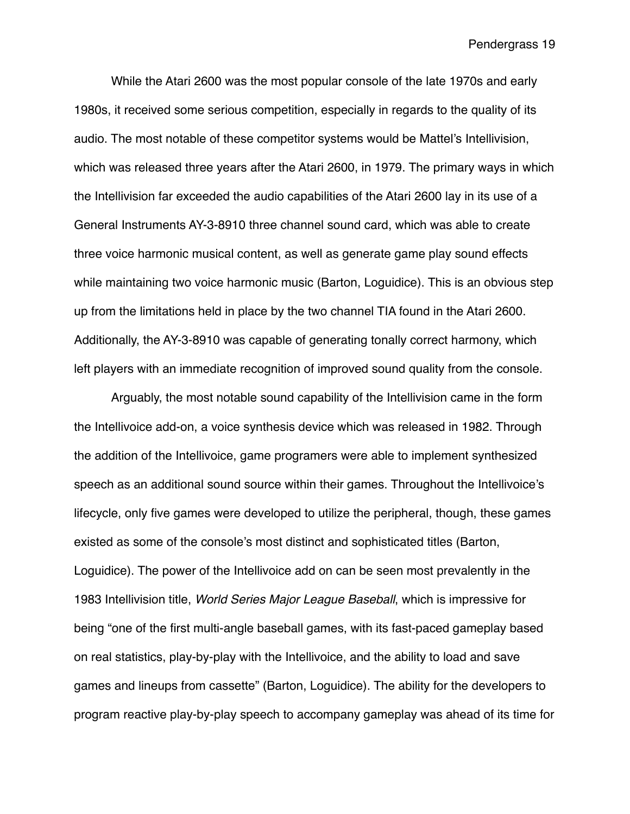While the Atari 2600 was the most popular console of the late 1970s and early 1980s, it received some serious competition, especially in regards to the quality of its audio. The most notable of these competitor systems would be Mattel's Intellivision, which was released three years after the Atari 2600, in 1979. The primary ways in which the Intellivision far exceeded the audio capabilities of the Atari 2600 lay in its use of a General Instruments AY-3-8910 three channel sound card, which was able to create three voice harmonic musical content, as well as generate game play sound effects while maintaining two voice harmonic music (Barton, Loguidice). This is an obvious step up from the limitations held in place by the two channel TIA found in the Atari 2600. Additionally, the AY-3-8910 was capable of generating tonally correct harmony, which left players with an immediate recognition of improved sound quality from the console.

Arguably, the most notable sound capability of the Intellivision came in the form the Intellivoice add-on, a voice synthesis device which was released in 1982. Through the addition of the Intellivoice, game programers were able to implement synthesized speech as an additional sound source within their games. Throughout the Intellivoice's lifecycle, only five games were developed to utilize the peripheral, though, these games existed as some of the console's most distinct and sophisticated titles (Barton, Loguidice). The power of the Intellivoice add on can be seen most prevalently in the 1983 Intellivision title, *World Series Major League Baseball*, which is impressive for being "one of the first multi-angle baseball games, with its fast-paced gameplay based on real statistics, play-by-play with the Intellivoice, and the ability to load and save games and lineups from cassette" (Barton, Loguidice). The ability for the developers to program reactive play-by-play speech to accompany gameplay was ahead of its time for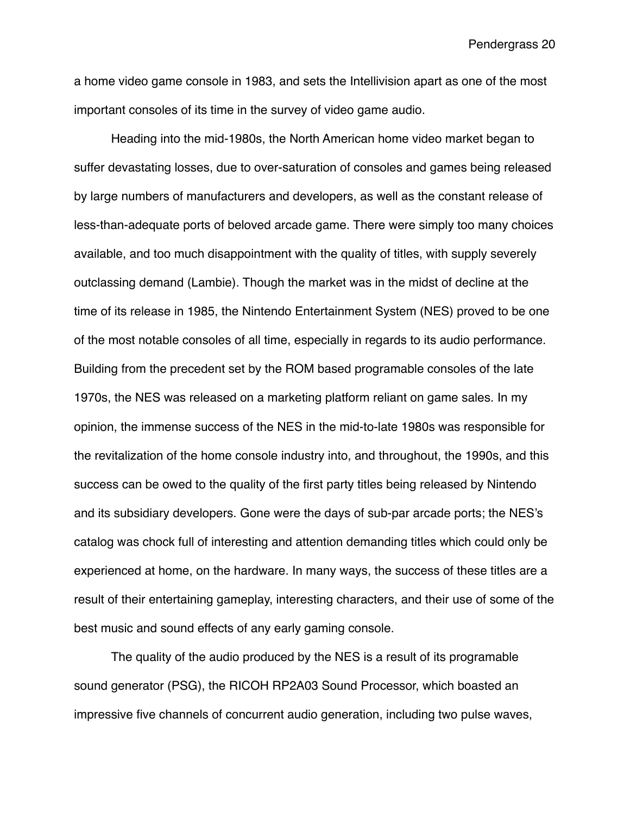a home video game console in 1983, and sets the Intellivision apart as one of the most important consoles of its time in the survey of video game audio.

Heading into the mid-1980s, the North American home video market began to suffer devastating losses, due to over-saturation of consoles and games being released by large numbers of manufacturers and developers, as well as the constant release of less-than-adequate ports of beloved arcade game. There were simply too many choices available, and too much disappointment with the quality of titles, with supply severely outclassing demand (Lambie). Though the market was in the midst of decline at the time of its release in 1985, the Nintendo Entertainment System (NES) proved to be one of the most notable consoles of all time, especially in regards to its audio performance. Building from the precedent set by the ROM based programable consoles of the late 1970s, the NES was released on a marketing platform reliant on game sales. In my opinion, the immense success of the NES in the mid-to-late 1980s was responsible for the revitalization of the home console industry into, and throughout, the 1990s, and this success can be owed to the quality of the first party titles being released by Nintendo and its subsidiary developers. Gone were the days of sub-par arcade ports; the NES's catalog was chock full of interesting and attention demanding titles which could only be experienced at home, on the hardware. In many ways, the success of these titles are a result of their entertaining gameplay, interesting characters, and their use of some of the best music and sound effects of any early gaming console.

The quality of the audio produced by the NES is a result of its programable sound generator (PSG), the RICOH RP2A03 Sound Processor, which boasted an impressive five channels of concurrent audio generation, including two pulse waves,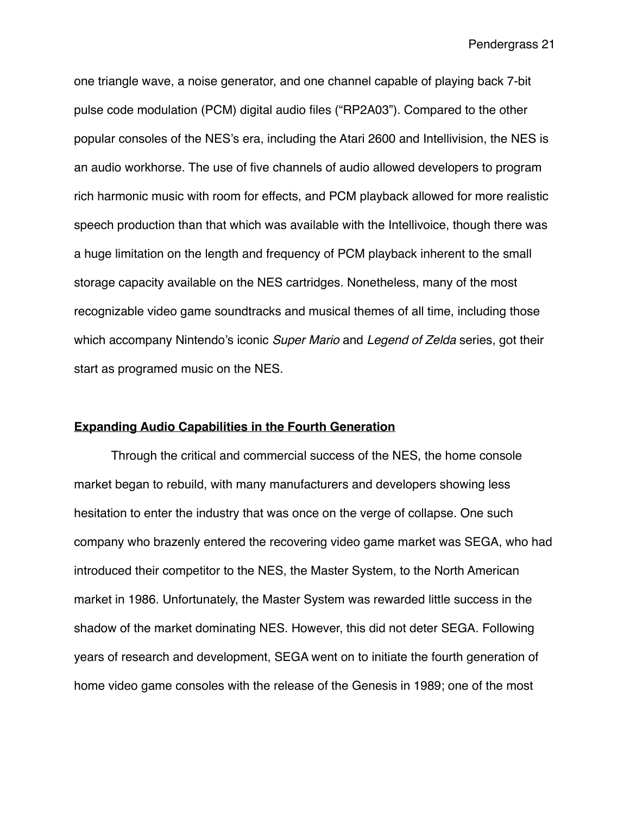one triangle wave, a noise generator, and one channel capable of playing back 7-bit pulse code modulation (PCM) digital audio files ("RP2A03"). Compared to the other popular consoles of the NES's era, including the Atari 2600 and Intellivision, the NES is an audio workhorse. The use of five channels of audio allowed developers to program rich harmonic music with room for effects, and PCM playback allowed for more realistic speech production than that which was available with the Intellivoice, though there was a huge limitation on the length and frequency of PCM playback inherent to the small storage capacity available on the NES cartridges. Nonetheless, many of the most recognizable video game soundtracks and musical themes of all time, including those which accompany Nintendo's iconic *Super Mario* and *Legend of Zelda* series, got their start as programed music on the NES.

#### **Expanding Audio Capabilities in the Fourth Generation**

Through the critical and commercial success of the NES, the home console market began to rebuild, with many manufacturers and developers showing less hesitation to enter the industry that was once on the verge of collapse. One such company who brazenly entered the recovering video game market was SEGA, who had introduced their competitor to the NES, the Master System, to the North American market in 1986. Unfortunately, the Master System was rewarded little success in the shadow of the market dominating NES. However, this did not deter SEGA. Following years of research and development, SEGA went on to initiate the fourth generation of home video game consoles with the release of the Genesis in 1989; one of the most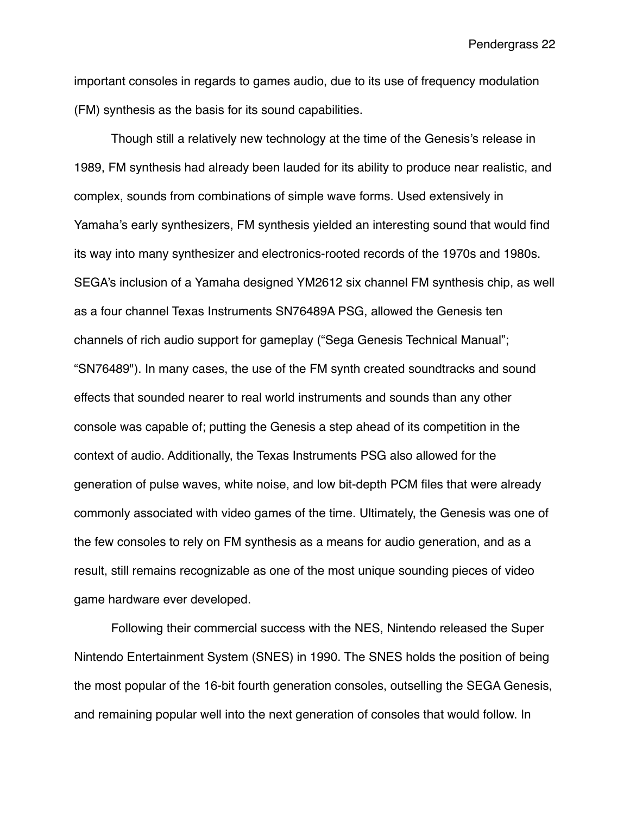important consoles in regards to games audio, due to its use of frequency modulation (FM) synthesis as the basis for its sound capabilities.

Though still a relatively new technology at the time of the Genesis's release in 1989, FM synthesis had already been lauded for its ability to produce near realistic, and complex, sounds from combinations of simple wave forms. Used extensively in Yamaha's early synthesizers, FM synthesis yielded an interesting sound that would find its way into many synthesizer and electronics-rooted records of the 1970s and 1980s. SEGA's inclusion of a Yamaha designed YM2612 six channel FM synthesis chip, as well as a four channel Texas Instruments SN76489A PSG, allowed the Genesis ten channels of rich audio support for gameplay ("Sega Genesis Technical Manual"; "SN76489"). In many cases, the use of the FM synth created soundtracks and sound effects that sounded nearer to real world instruments and sounds than any other console was capable of; putting the Genesis a step ahead of its competition in the context of audio. Additionally, the Texas Instruments PSG also allowed for the generation of pulse waves, white noise, and low bit-depth PCM files that were already commonly associated with video games of the time. Ultimately, the Genesis was one of the few consoles to rely on FM synthesis as a means for audio generation, and as a result, still remains recognizable as one of the most unique sounding pieces of video game hardware ever developed.

Following their commercial success with the NES, Nintendo released the Super Nintendo Entertainment System (SNES) in 1990. The SNES holds the position of being the most popular of the 16-bit fourth generation consoles, outselling the SEGA Genesis, and remaining popular well into the next generation of consoles that would follow. In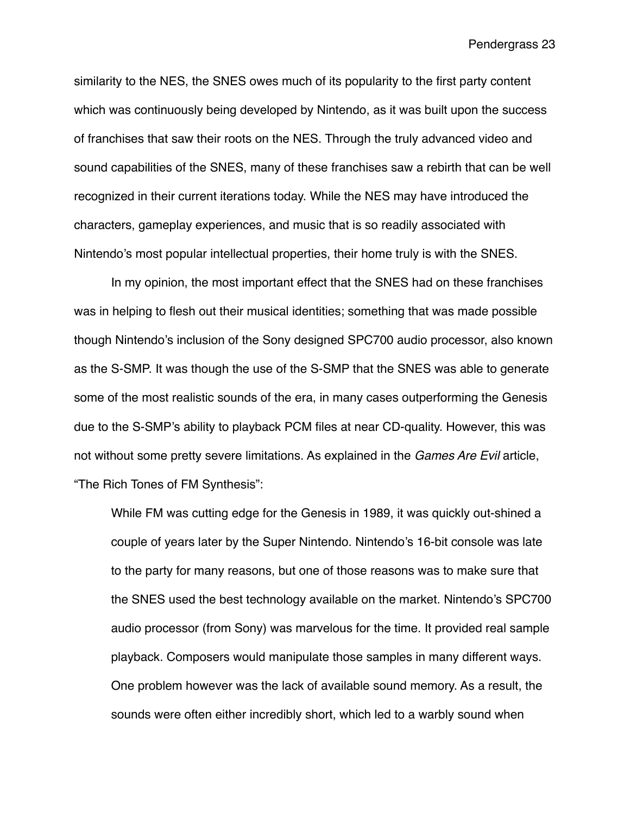similarity to the NES, the SNES owes much of its popularity to the first party content which was continuously being developed by Nintendo, as it was built upon the success of franchises that saw their roots on the NES. Through the truly advanced video and sound capabilities of the SNES, many of these franchises saw a rebirth that can be well recognized in their current iterations today. While the NES may have introduced the characters, gameplay experiences, and music that is so readily associated with Nintendo's most popular intellectual properties, their home truly is with the SNES.

In my opinion, the most important effect that the SNES had on these franchises was in helping to flesh out their musical identities; something that was made possible though Nintendo's inclusion of the Sony designed SPC700 audio processor, also known as the S-SMP. It was though the use of the S-SMP that the SNES was able to generate some of the most realistic sounds of the era, in many cases outperforming the Genesis due to the S-SMP's ability to playback PCM files at near CD-quality. However, this was not without some pretty severe limitations. As explained in the *Games Are Evil* article, "The Rich Tones of FM Synthesis":

While FM was cutting edge for the Genesis in 1989, it was quickly out-shined a couple of years later by the Super Nintendo. Nintendo's 16-bit console was late to the party for many reasons, but one of those reasons was to make sure that the SNES used the best technology available on the market. Nintendo's SPC700 audio processor (from Sony) was marvelous for the time. It provided real sample playback. Composers would manipulate those samples in many different ways. One problem however was the lack of available sound memory. As a result, the sounds were often either incredibly short, which led to a warbly sound when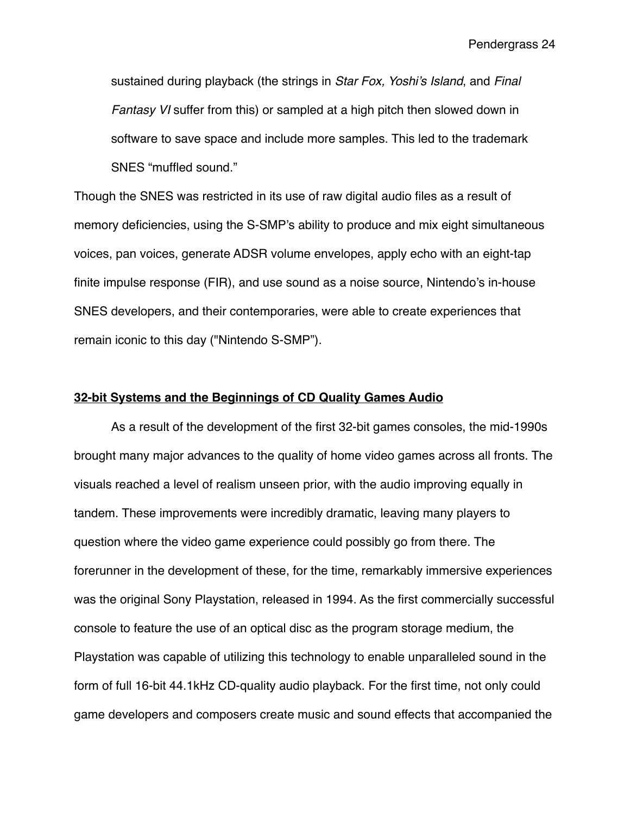sustained during playback (the strings in *Star Fox, Yoshi's Island*, and *Final Fantasy VI* suffer from this) or sampled at a high pitch then slowed down in software to save space and include more samples. This led to the trademark SNES "muffled sound."

Though the SNES was restricted in its use of raw digital audio files as a result of memory deficiencies, using the S-SMP's ability to produce and mix eight simultaneous voices, pan voices, generate ADSR volume envelopes, apply echo with an eight-tap finite impulse response (FIR), and use sound as a noise source, Nintendo's in-house SNES developers, and their contemporaries, were able to create experiences that remain iconic to this day ("Nintendo S-SMP").

### **32-bit Systems and the Beginnings of CD Quality Games Audio**

As a result of the development of the first 32-bit games consoles, the mid-1990s brought many major advances to the quality of home video games across all fronts. The visuals reached a level of realism unseen prior, with the audio improving equally in tandem. These improvements were incredibly dramatic, leaving many players to question where the video game experience could possibly go from there. The forerunner in the development of these, for the time, remarkably immersive experiences was the original Sony Playstation, released in 1994. As the first commercially successful console to feature the use of an optical disc as the program storage medium, the Playstation was capable of utilizing this technology to enable unparalleled sound in the form of full 16-bit 44.1kHz CD-quality audio playback. For the first time, not only could game developers and composers create music and sound effects that accompanied the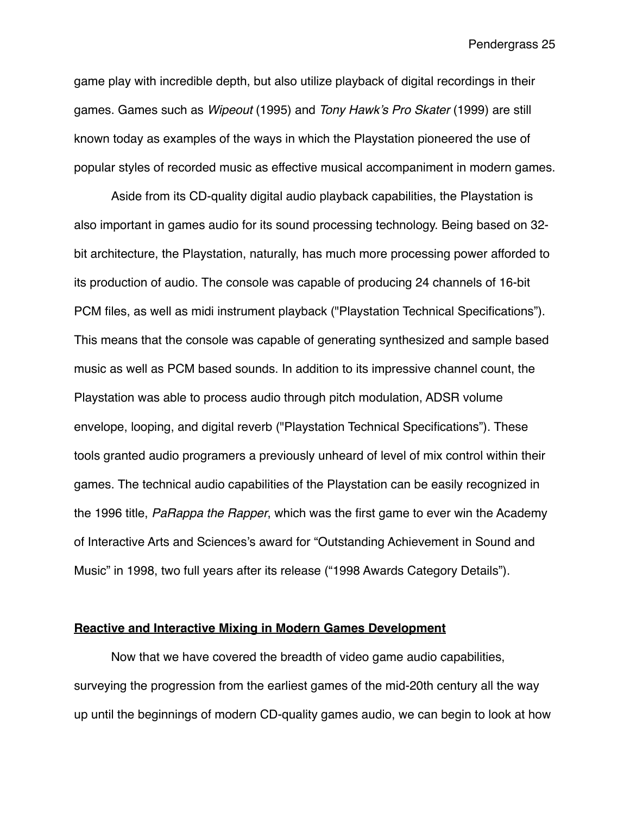game play with incredible depth, but also utilize playback of digital recordings in their games. Games such as *Wipeout* (1995) and *Tony Hawk's Pro Skater* (1999) are still known today as examples of the ways in which the Playstation pioneered the use of popular styles of recorded music as effective musical accompaniment in modern games.

Aside from its CD-quality digital audio playback capabilities, the Playstation is also important in games audio for its sound processing technology. Being based on 32 bit architecture, the Playstation, naturally, has much more processing power afforded to its production of audio. The console was capable of producing 24 channels of 16-bit PCM files, as well as midi instrument playback ("Playstation Technical Specifications"). This means that the console was capable of generating synthesized and sample based music as well as PCM based sounds. In addition to its impressive channel count, the Playstation was able to process audio through pitch modulation, ADSR volume envelope, looping, and digital reverb ("Playstation Technical Specifications"). These tools granted audio programers a previously unheard of level of mix control within their games. The technical audio capabilities of the Playstation can be easily recognized in the 1996 title, *PaRappa the Rapper*, which was the first game to ever win the Academy of Interactive Arts and Sciences's award for "Outstanding Achievement in Sound and Music" in 1998, two full years after its release ("1998 Awards Category Details").

### **Reactive and Interactive Mixing in Modern Games Development**

Now that we have covered the breadth of video game audio capabilities, surveying the progression from the earliest games of the mid-20th century all the way up until the beginnings of modern CD-quality games audio, we can begin to look at how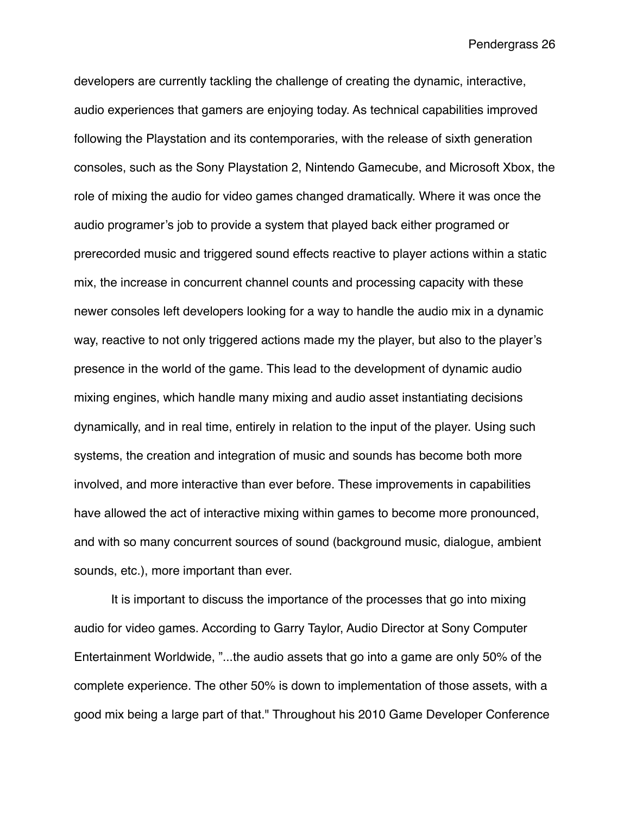developers are currently tackling the challenge of creating the dynamic, interactive, audio experiences that gamers are enjoying today. As technical capabilities improved following the Playstation and its contemporaries, with the release of sixth generation consoles, such as the Sony Playstation 2, Nintendo Gamecube, and Microsoft Xbox, the role of mixing the audio for video games changed dramatically. Where it was once the audio programer's job to provide a system that played back either programed or prerecorded music and triggered sound effects reactive to player actions within a static mix, the increase in concurrent channel counts and processing capacity with these newer consoles left developers looking for a way to handle the audio mix in a dynamic way, reactive to not only triggered actions made my the player, but also to the player's presence in the world of the game. This lead to the development of dynamic audio mixing engines, which handle many mixing and audio asset instantiating decisions dynamically, and in real time, entirely in relation to the input of the player. Using such systems, the creation and integration of music and sounds has become both more involved, and more interactive than ever before. These improvements in capabilities have allowed the act of interactive mixing within games to become more pronounced, and with so many concurrent sources of sound (background music, dialogue, ambient sounds, etc.), more important than ever.

It is important to discuss the importance of the processes that go into mixing audio for video games. According to Garry Taylor, Audio Director at Sony Computer Entertainment Worldwide, "...the audio assets that go into a game are only 50% of the complete experience. The other 50% is down to implementation of those assets, with a good mix being a large part of that." Throughout his 2010 Game Developer Conference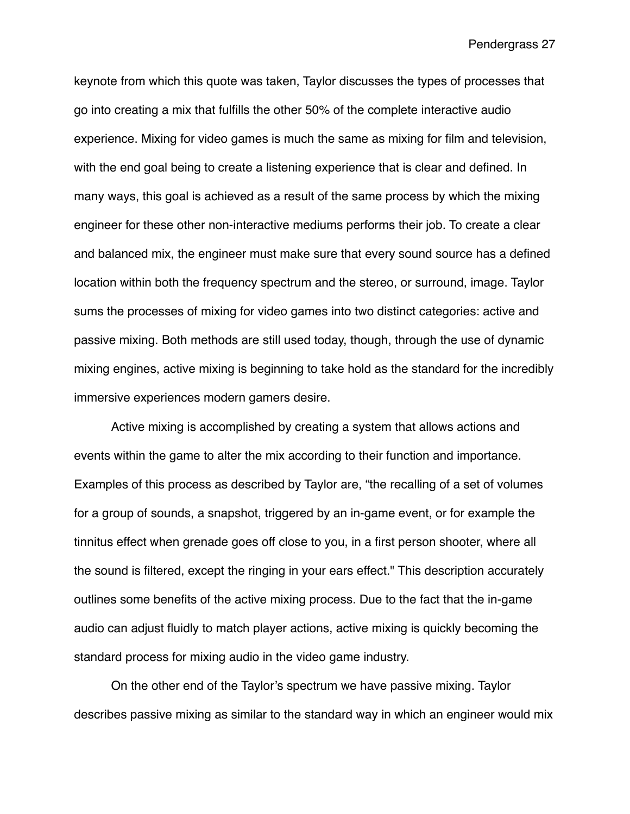keynote from which this quote was taken, Taylor discusses the types of processes that go into creating a mix that fulfills the other 50% of the complete interactive audio experience. Mixing for video games is much the same as mixing for film and television, with the end goal being to create a listening experience that is clear and defined. In many ways, this goal is achieved as a result of the same process by which the mixing engineer for these other non-interactive mediums performs their job. To create a clear and balanced mix, the engineer must make sure that every sound source has a defined location within both the frequency spectrum and the stereo, or surround, image. Taylor sums the processes of mixing for video games into two distinct categories: active and passive mixing. Both methods are still used today, though, through the use of dynamic mixing engines, active mixing is beginning to take hold as the standard for the incredibly immersive experiences modern gamers desire.

Active mixing is accomplished by creating a system that allows actions and events within the game to alter the mix according to their function and importance. Examples of this process as described by Taylor are, "the recalling of a set of volumes for a group of sounds, a snapshot, triggered by an in-game event, or for example the tinnitus effect when grenade goes off close to you, in a first person shooter, where all the sound is filtered, except the ringing in your ears effect." This description accurately outlines some benefits of the active mixing process. Due to the fact that the in-game audio can adjust fluidly to match player actions, active mixing is quickly becoming the standard process for mixing audio in the video game industry.

On the other end of the Taylor's spectrum we have passive mixing. Taylor describes passive mixing as similar to the standard way in which an engineer would mix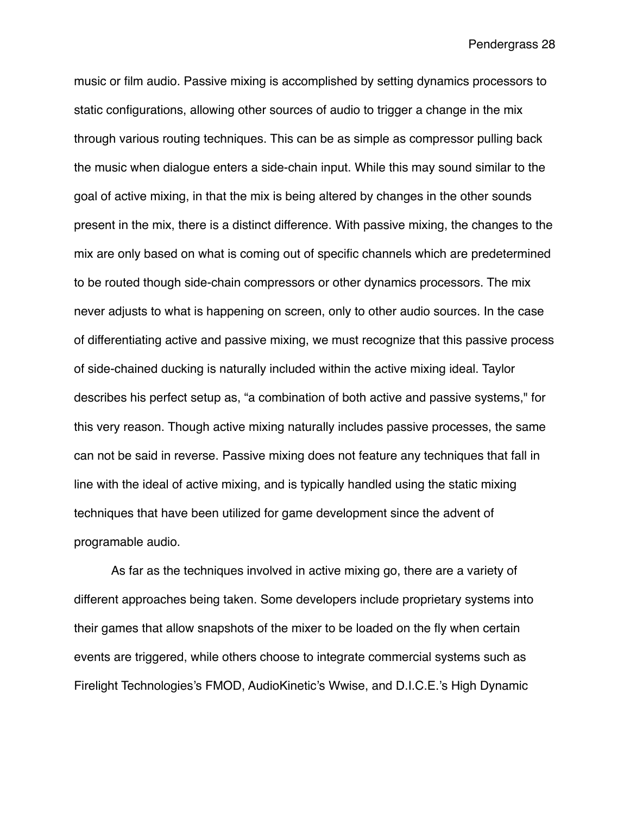music or film audio. Passive mixing is accomplished by setting dynamics processors to static configurations, allowing other sources of audio to trigger a change in the mix through various routing techniques. This can be as simple as compressor pulling back the music when dialogue enters a side-chain input. While this may sound similar to the goal of active mixing, in that the mix is being altered by changes in the other sounds present in the mix, there is a distinct difference. With passive mixing, the changes to the mix are only based on what is coming out of specific channels which are predetermined to be routed though side-chain compressors or other dynamics processors. The mix never adjusts to what is happening on screen, only to other audio sources. In the case of differentiating active and passive mixing, we must recognize that this passive process of side-chained ducking is naturally included within the active mixing ideal. Taylor describes his perfect setup as, "a combination of both active and passive systems," for this very reason. Though active mixing naturally includes passive processes, the same can not be said in reverse. Passive mixing does not feature any techniques that fall in line with the ideal of active mixing, and is typically handled using the static mixing techniques that have been utilized for game development since the advent of programable audio.

As far as the techniques involved in active mixing go, there are a variety of different approaches being taken. Some developers include proprietary systems into their games that allow snapshots of the mixer to be loaded on the fly when certain events are triggered, while others choose to integrate commercial systems such as Firelight Technologies's FMOD, AudioKinetic's Wwise, and D.I.C.E.'s High Dynamic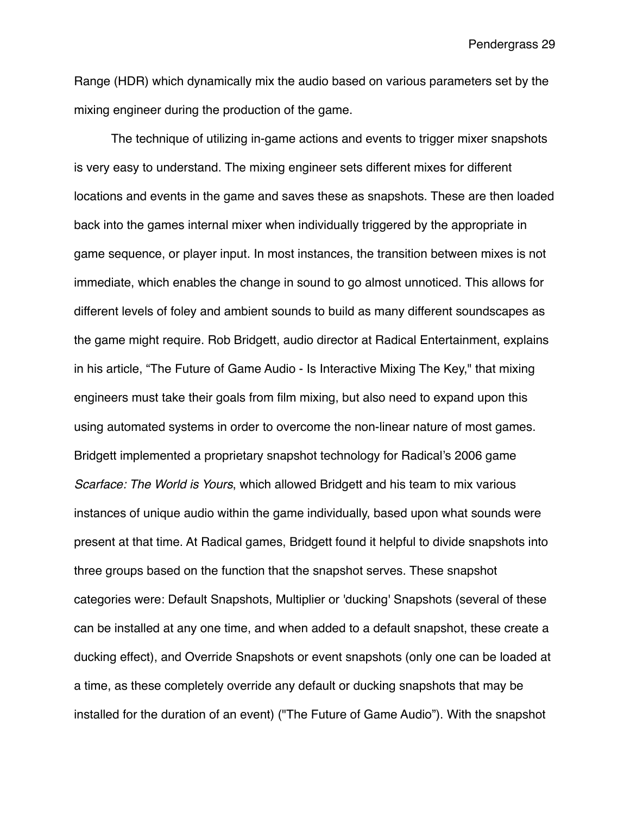Range (HDR) which dynamically mix the audio based on various parameters set by the mixing engineer during the production of the game.

The technique of utilizing in-game actions and events to trigger mixer snapshots is very easy to understand. The mixing engineer sets different mixes for different locations and events in the game and saves these as snapshots. These are then loaded back into the games internal mixer when individually triggered by the appropriate in game sequence, or player input. In most instances, the transition between mixes is not immediate, which enables the change in sound to go almost unnoticed. This allows for different levels of foley and ambient sounds to build as many different soundscapes as the game might require. Rob Bridgett, audio director at Radical Entertainment, explains in his article, "The Future of Game Audio - Is Interactive Mixing The Key," that mixing engineers must take their goals from film mixing, but also need to expand upon this using automated systems in order to overcome the non-linear nature of most games. Bridgett implemented a proprietary snapshot technology for Radical's 2006 game *Scarface: The World is Yours*, which allowed Bridgett and his team to mix various instances of unique audio within the game individually, based upon what sounds were present at that time. At Radical games, Bridgett found it helpful to divide snapshots into three groups based on the function that the snapshot serves. These snapshot categories were: Default Snapshots, Multiplier or 'ducking' Snapshots (several of these can be installed at any one time, and when added to a default snapshot, these create a ducking effect), and Override Snapshots or event snapshots (only one can be loaded at a time, as these completely override any default or ducking snapshots that may be installed for the duration of an event) ("The Future of Game Audio"). With the snapshot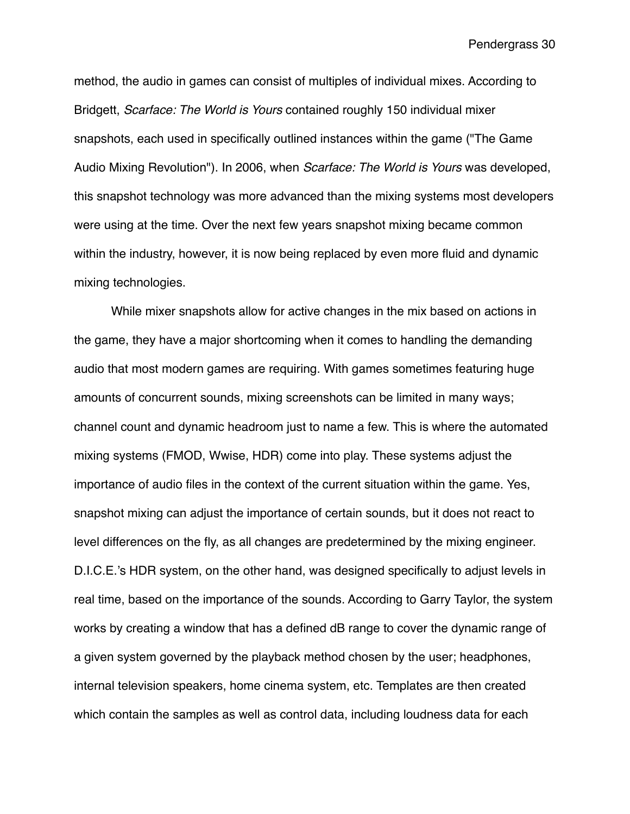method, the audio in games can consist of multiples of individual mixes. According to Bridgett, *Scarface: The World is Yours* contained roughly 150 individual mixer snapshots, each used in specifically outlined instances within the game ("The Game Audio Mixing Revolution"). In 2006, when *Scarface: The World is Yours* was developed, this snapshot technology was more advanced than the mixing systems most developers were using at the time. Over the next few years snapshot mixing became common within the industry, however, it is now being replaced by even more fluid and dynamic mixing technologies.

While mixer snapshots allow for active changes in the mix based on actions in the game, they have a major shortcoming when it comes to handling the demanding audio that most modern games are requiring. With games sometimes featuring huge amounts of concurrent sounds, mixing screenshots can be limited in many ways; channel count and dynamic headroom just to name a few. This is where the automated mixing systems (FMOD, Wwise, HDR) come into play. These systems adjust the importance of audio files in the context of the current situation within the game. Yes, snapshot mixing can adjust the importance of certain sounds, but it does not react to level differences on the fly, as all changes are predetermined by the mixing engineer. D.I.C.E.'s HDR system, on the other hand, was designed specifically to adjust levels in real time, based on the importance of the sounds. According to Garry Taylor, the system works by creating a window that has a defined dB range to cover the dynamic range of a given system governed by the playback method chosen by the user; headphones, internal television speakers, home cinema system, etc. Templates are then created which contain the samples as well as control data, including loudness data for each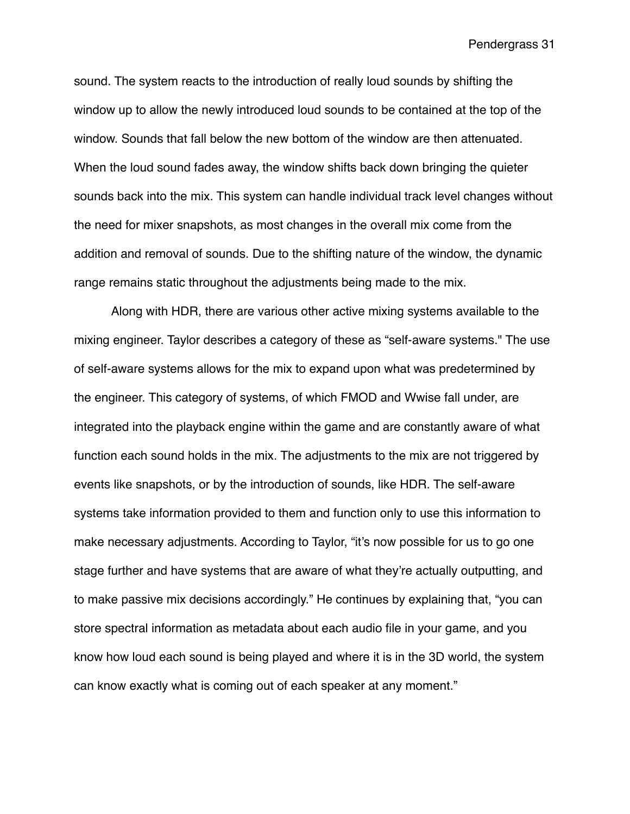sound. The system reacts to the introduction of really loud sounds by shifting the window up to allow the newly introduced loud sounds to be contained at the top of the window. Sounds that fall below the new bottom of the window are then attenuated. When the loud sound fades away, the window shifts back down bringing the quieter sounds back into the mix. This system can handle individual track level changes without the need for mixer snapshots, as most changes in the overall mix come from the addition and removal of sounds. Due to the shifting nature of the window, the dynamic range remains static throughout the adjustments being made to the mix.

Along with HDR, there are various other active mixing systems available to the mixing engineer. Taylor describes a category of these as "self-aware systems." The use of self-aware systems allows for the mix to expand upon what was predetermined by the engineer. This category of systems, of which FMOD and Wwise fall under, are integrated into the playback engine within the game and are constantly aware of what function each sound holds in the mix. The adjustments to the mix are not triggered by events like snapshots, or by the introduction of sounds, like HDR. The self-aware systems take information provided to them and function only to use this information to make necessary adjustments. According to Taylor, "it's now possible for us to go one stage further and have systems that are aware of what they're actually outputting, and to make passive mix decisions accordingly." He continues by explaining that, "you can store spectral information as metadata about each audio file in your game, and you know how loud each sound is being played and where it is in the 3D world, the system can know exactly what is coming out of each speaker at any moment."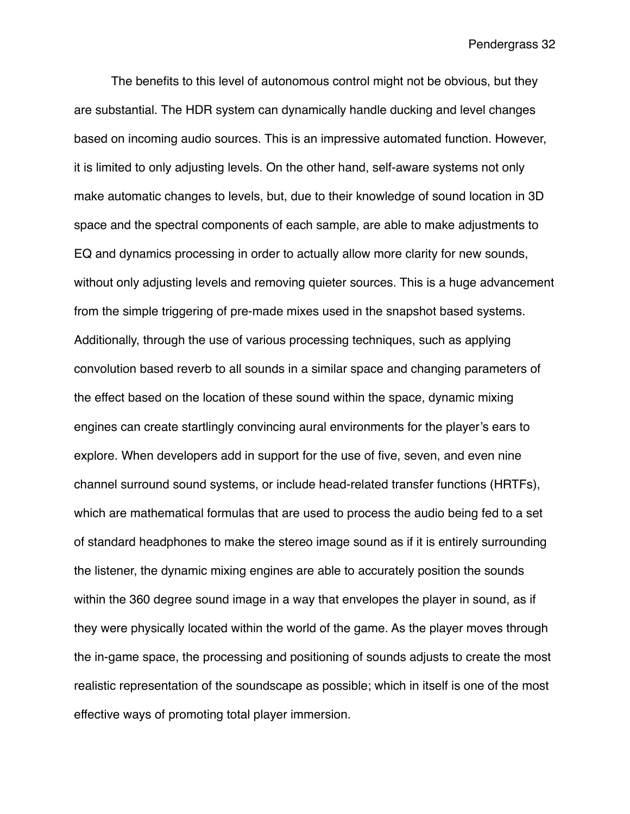The benefits to this level of autonomous control might not be obvious, but they are substantial. The HDR system can dynamically handle ducking and level changes based on incoming audio sources. This is an impressive automated function. However, it is limited to only adjusting levels. On the other hand, self-aware systems not only make automatic changes to levels, but, due to their knowledge of sound location in 3D space and the spectral components of each sample, are able to make adjustments to EQ and dynamics processing in order to actually allow more clarity for new sounds, without only adjusting levels and removing quieter sources. This is a huge advancement from the simple triggering of pre-made mixes used in the snapshot based systems. Additionally, through the use of various processing techniques, such as applying convolution based reverb to all sounds in a similar space and changing parameters of the effect based on the location of these sound within the space, dynamic mixing engines can create startlingly convincing aural environments for the player's ears to explore. When developers add in support for the use of five, seven, and even nine channel surround sound systems, or include head-related transfer functions (HRTFs), which are mathematical formulas that are used to process the audio being fed to a set of standard headphones to make the stereo image sound as if it is entirely surrounding the listener, the dynamic mixing engines are able to accurately position the sounds within the 360 degree sound image in a way that envelopes the player in sound, as if they were physically located within the world of the game. As the player moves through the in-game space, the processing and positioning of sounds adjusts to create the most realistic representation of the soundscape as possible; which in itself is one of the most effective ways of promoting total player immersion.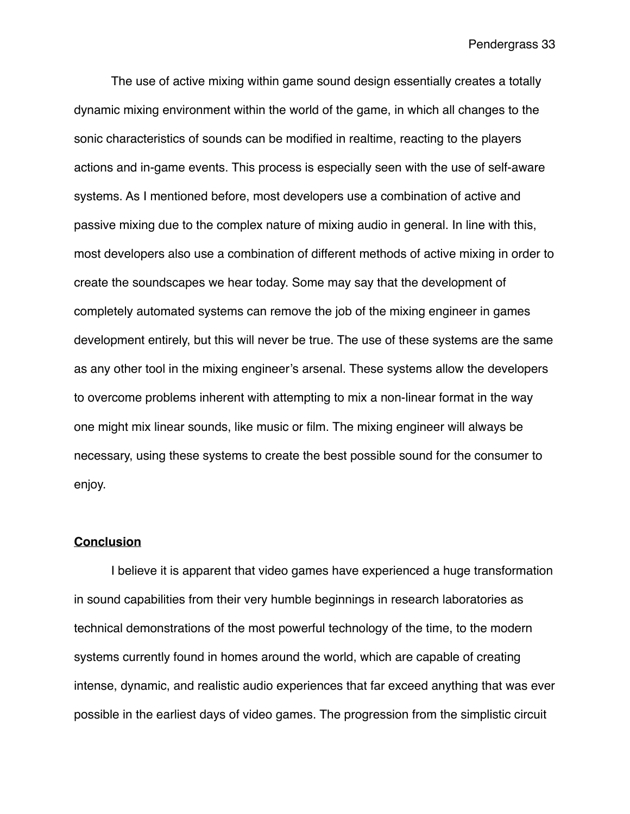The use of active mixing within game sound design essentially creates a totally dynamic mixing environment within the world of the game, in which all changes to the sonic characteristics of sounds can be modified in realtime, reacting to the players actions and in-game events. This process is especially seen with the use of self-aware systems. As I mentioned before, most developers use a combination of active and passive mixing due to the complex nature of mixing audio in general. In line with this, most developers also use a combination of different methods of active mixing in order to create the soundscapes we hear today. Some may say that the development of completely automated systems can remove the job of the mixing engineer in games development entirely, but this will never be true. The use of these systems are the same as any other tool in the mixing engineer's arsenal. These systems allow the developers to overcome problems inherent with attempting to mix a non-linear format in the way one might mix linear sounds, like music or film. The mixing engineer will always be necessary, using these systems to create the best possible sound for the consumer to enjoy.

#### **Conclusion**

I believe it is apparent that video games have experienced a huge transformation in sound capabilities from their very humble beginnings in research laboratories as technical demonstrations of the most powerful technology of the time, to the modern systems currently found in homes around the world, which are capable of creating intense, dynamic, and realistic audio experiences that far exceed anything that was ever possible in the earliest days of video games. The progression from the simplistic circuit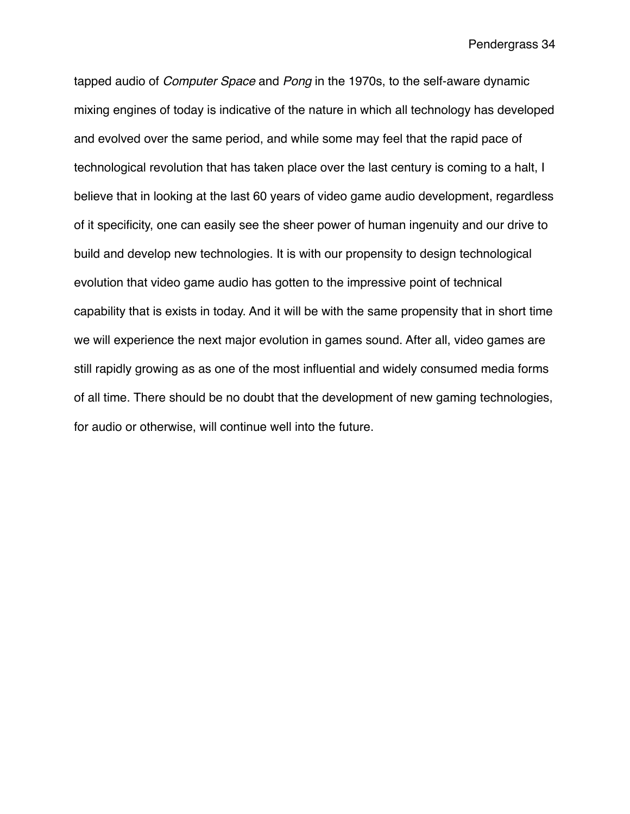tapped audio of *Computer Space* and *Pong* in the 1970s, to the self-aware dynamic mixing engines of today is indicative of the nature in which all technology has developed and evolved over the same period, and while some may feel that the rapid pace of technological revolution that has taken place over the last century is coming to a halt, I believe that in looking at the last 60 years of video game audio development, regardless of it specificity, one can easily see the sheer power of human ingenuity and our drive to build and develop new technologies. It is with our propensity to design technological evolution that video game audio has gotten to the impressive point of technical capability that is exists in today. And it will be with the same propensity that in short time we will experience the next major evolution in games sound. After all, video games are still rapidly growing as as one of the most influential and widely consumed media forms of all time. There should be no doubt that the development of new gaming technologies, for audio or otherwise, will continue well into the future.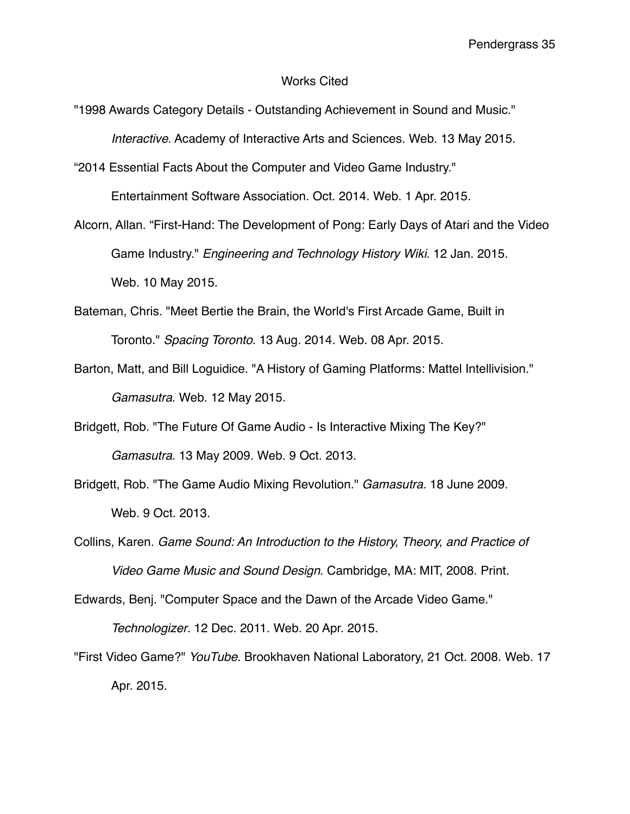### Works Cited

"1998 Awards Category Details - Outstanding Achievement in Sound and Music." *Interactive*. Academy of Interactive Arts and Sciences. Web. 13 May 2015.

"2014 Essential Facts About the Computer and Video Game Industry." Entertainment Software Association. Oct. 2014. Web. 1 Apr. 2015.

- Alcorn, Allan. "First-Hand: The Development of Pong: Early Days of Atari and the Video Game Industry." *Engineering and Technology History Wiki*. 12 Jan. 2015. Web. 10 May 2015.
- Bateman, Chris. "Meet Bertie the Brain, the World's First Arcade Game, Built in Toronto." *Spacing Toronto*. 13 Aug. 2014. Web. 08 Apr. 2015.
- Barton, Matt, and Bill Loguidice. "A History of Gaming Platforms: Mattel Intellivision." *Gamasutra*. Web. 12 May 2015.
- Bridgett, Rob. "The Future Of Game Audio Is Interactive Mixing The Key?" *Gamasutra.* 13 May 2009. Web. 9 Oct. 2013.
- Bridgett, Rob. "The Game Audio Mixing Revolution." *Gamasutra.* 18 June 2009. Web. 9 Oct. 2013.
- Collins, Karen. *Game Sound: An Introduction to the History, Theory, and Practice of Video Game Music and Sound Design*. Cambridge, MA: MIT, 2008. Print.

Edwards, Benj. "Computer Space and the Dawn of the Arcade Video Game."

*Technologizer*. 12 Dec. 2011. Web. 20 Apr. 2015.

"First Video Game?" *YouTube*. Brookhaven National Laboratory, 21 Oct. 2008. Web. 17 Apr. 2015.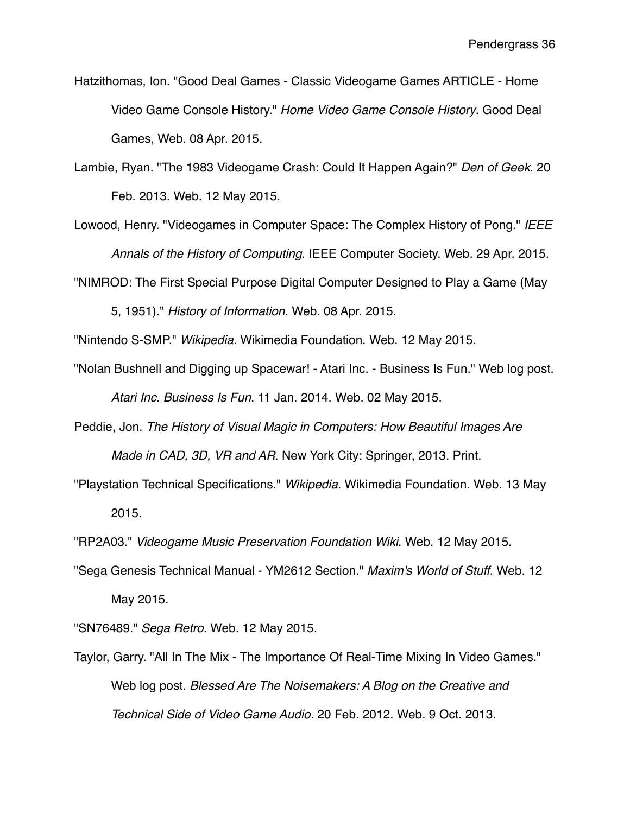- Hatzithomas, Ion. "Good Deal Games Classic Videogame Games ARTICLE Home Video Game Console History." *Home Video Game Console History*. Good Deal Games, Web. 08 Apr. 2015.
- Lambie, Ryan. "The 1983 Videogame Crash: Could It Happen Again?" *Den of Geek*. 20 Feb. 2013. Web. 12 May 2015.
- Lowood, Henry. "Videogames in Computer Space: The Complex History of Pong." *IEEE Annals of the History of Computing*. IEEE Computer Society. Web. 29 Apr. 2015.

"NIMROD: The First Special Purpose Digital Computer Designed to Play a Game (May

5, 1951)." *History of Information*. Web. 08 Apr. 2015.

"Nintendo S-SMP." *Wikipedia.* Wikimedia Foundation. Web. 12 May 2015.

- "Nolan Bushnell and Digging up Spacewar! Atari Inc. Business Is Fun." Web log post. *Atari Inc. Business Is Fun*. 11 Jan. 2014. Web. 02 May 2015.
- Peddie, Jon. *The History of Visual Magic in Computers: How Beautiful Images Are Made in CAD, 3D, VR and AR*. New York City: Springer, 2013. Print.
- "Playstation Technical Specifications." *Wikipedia*. Wikimedia Foundation. Web. 13 May 2015.

"RP2A03." *Videogame Music Preservation Foundation Wiki*. Web. 12 May 2015.

"Sega Genesis Technical Manual - YM2612 Section." *Maxim's World of Stuff*. Web. 12 May 2015.

"SN76489." *Sega Retro*. Web. 12 May 2015.

Taylor, Garry. "All In The Mix - The Importance Of Real-Time Mixing In Video Games." Web log post. *Blessed Are The Noisemakers: A Blog on the Creative and Technical Side of Video Game Audio.* 20 Feb. 2012. Web. 9 Oct. 2013.